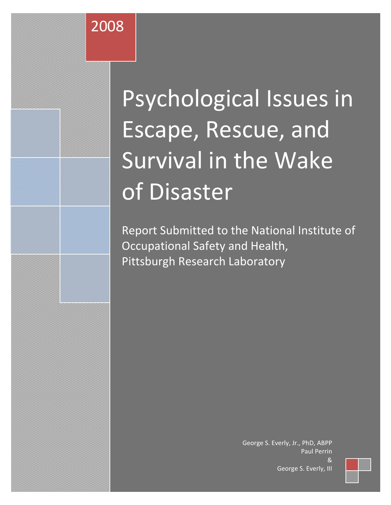# 2008

# Psychological Issues in Escape, Rescue, and Survival in the Wake of Disaster

Report Submitted to the National Institute of Occupational Safety and Health, Pittsburgh Research Laboratory

> George S. Everly, Jr., PhD, ABPP Paul Perrin & George S. Everly, III

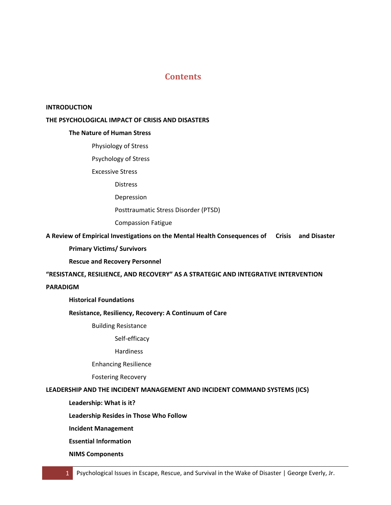#### **Contents**

#### **INTRODUCTION**

#### **THE PSYCHOLOGICAL IMPACT OF CRISIS AND DISASTERS**

#### **The Nature of Human Stress**

 Physiology of Stress

Psychology of Stress

Excessive Stress

**Distress** 

Depression

Posttraumatic Stress Disorder (PTSD)

Compassion Fatigue

**A Review of Empirical Investigations on the Mental Health Consequences of Crisis and Disaster**

#### **Primary Victims/ Survivors**

#### **Rescue and Recovery Personnel**

**"RESISTANCE, RESILIENCE, AND RECOVERY" AS A STRATEGIC AND INTEGRATIVE INTERVENTION**

#### **PARADIGM**

#### **Historical Foundations**

#### **Resistance, Resiliency, Recovery: A Continuum of Care**

 Building Resistance

Self‐efficacy

#### **Hardiness**

Enhancing Resilience

Fostering Recovery

#### **LEADERSHIP AND THE INCIDENT MANAGEMENT AND INCIDENT COMMAND SYSTEMS (ICS)**

**Leadership: What is it?**

**Leadership Resides in Those Who Follow**

**Incident Management**

**Essential Information**

#### **NIMS Components**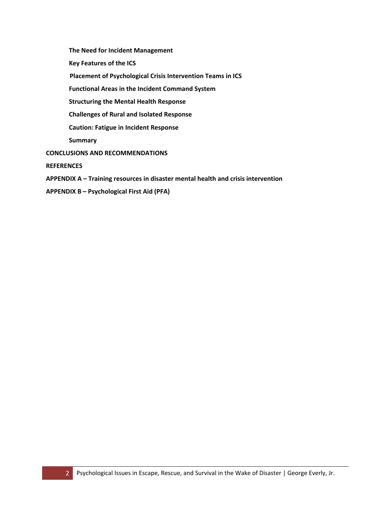**The Need for Incident Management**

**Key Features of the ICS**

 **Placement of Psychological Crisis Intervention Teams in ICS**

**Functional Areas in the Incident Command System**

**Structuring the Mental Health Response**

**Challenges of Rural and Isolated Response**

**Caution: Fatigue in Incident Response**

**Summary**

**CONCLUSIONS AND RECOMMENDATIONS** 

**REFERENCES**

- **APPENDIX A – Training resources in disaster mental health and crisis intervention**
- **APPENDIX B – Psychological First Aid (PFA)**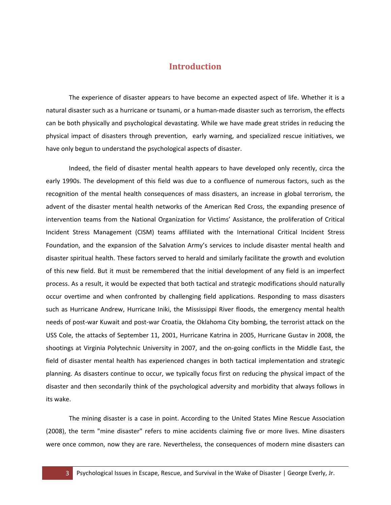#### **Introduction**

The experience of disaster appears to have become an expected aspect of life. Whether it is a natural disaster such as a hurricane or tsunami, or a human‐made disaster such as terrorism, the effects can be both physically and psychological devastating. While we have made great strides in reducing the physical impact of disasters through prevention, early warning, and specialized rescue initiatives, we have only begun to understand the psychological aspects of disaster.

Indeed, the field of disaster mental health appears to have developed only recently, circa the early 1990s. The development of this field was due to a confluence of numerous factors, such as the recognition of the mental health consequences of mass disasters, an increase in global terrorism, the advent of the disaster mental health networks of the American Red Cross, the expanding presence of intervention teams from the National Organization for Victims' Assistance, the proliferation of Critical Incident Stress Management (CISM) teams affiliated with the International Critical Incident Stress Foundation, and the expansion of the Salvation Army's services to include disaster mental health and disaster spiritual health. These factors served to herald and similarly facilitate the growth and evolution of this new field. But it must be remembered that the initial development of any field is an imperfect process. As a result, it would be expected that both tactical and strategic modifications should naturally occur overtime and when confronted by challenging field applications. Responding to mass disasters such as Hurricane Andrew, Hurricane Iniki, the Mississippi River floods, the emergency mental health needs of post‐war Kuwait and post‐war Croatia, the Oklahoma City bombing, the terrorist attack on the USS Cole, the attacks of September 11, 2001, Hurricane Katrina in 2005, Hurricane Gustav in 2008, the shootings at Virginia Polytechnic University in 2007, and the on‐going conflicts in the Middle East, the field of disaster mental health has experienced changes in both tactical implementation and strategic planning. As disasters continue to occur, we typically focus first on reducing the physical impact of the disaster and then secondarily think of the psychological adversity and morbidity that always follows in its wake.

The mining disaster is a case in point. According to the United States Mine Rescue Association (2008), the term "mine disaster" refers to mine accidents claiming five or more lives. Mine disasters were once common, now they are rare. Nevertheless, the consequences of modern mine disasters can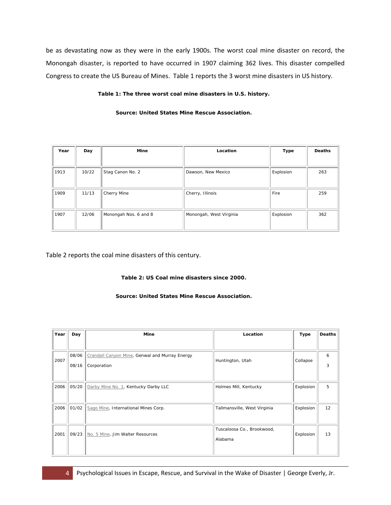be as devastating now as they were in the early 1900s. The worst coal mine disaster on record, the Monongah disaster, is reported to have occurred in 1907 claiming 362 lives. This disaster compelled Congress to create the US Bureau of Mines. Table 1 reports the 3 worst mine disasters in US history.

**Table 1: The three worst coal mine disasters in U.S. history.** 

**Source: United States Mine Rescue Association.** 

| Year | Day   | Mine                  | Location                | Type      | <b>Deaths</b> |
|------|-------|-----------------------|-------------------------|-----------|---------------|
|      |       |                       |                         |           |               |
| 1913 | 10/22 | Stag Canon No. 2      | Dawson, New Mexico      | Explosion | 263           |
|      |       |                       |                         |           |               |
| 1909 | 11/13 | Cherry Mine           | Cherry, Illinois        | l Fire    | 259           |
| 1907 | 12/06 | Monongah Nos. 6 and 8 | Monongah, West Virginia | Explosion | 362           |

Table 2 reports the coal mine disasters of this century.

#### **Table 2: US Coal mine disasters since 2000.**

#### **Source: United States Mine Rescue Association.**

| Year | Day   | Mine                                           | Location                     | <b>Type</b> | <b>Deaths</b> |
|------|-------|------------------------------------------------|------------------------------|-------------|---------------|
|      |       |                                                |                              |             |               |
| 2007 | 08/06 | Crandall Canyon Mine, Genwal and Murray Energy | Huntington, Utah             | Collapse    | 6             |
|      | 08/16 | Corporation                                    |                              |             | 3             |
|      |       |                                                |                              |             |               |
| 2006 | 05/20 | Darby Mine No. 1, Kentucky Darby LLC           | Holmes Mill, Kentucky        | Explosion   | 5             |
|      |       |                                                |                              |             |               |
| 2006 | 01/02 | Sago Mine, International Mines Corp.           | Tallmansville, West Virginia | Explosion   | 12            |
|      |       |                                                |                              |             |               |
| 2001 | 09/23 | No. 5 Mine, Jim Walter Resources               | Tuscaloosa Co., Brookwood,   |             | 13            |
|      |       |                                                | Alabama                      | Explosion   |               |
|      |       |                                                |                              |             |               |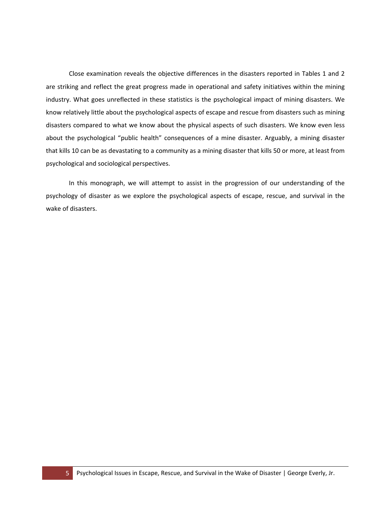Close examination reveals the objective differences in the disasters reported in Tables 1 and 2 are striking and reflect the great progress made in operational and safety initiatives within the mining industry. What goes unreflected in these statistics is the psychological impact of mining disasters. We know relatively little about the psychological aspects of escape and rescue from disasters such as mining disasters compared to what we know about the physical aspects of such disasters. We know even less about the psychological "public health" consequences of a mine disaster. Arguably, a mining disaster that kills 10 can be as devastating to a community as a mining disaster that kills 50 or more, at least from psychological and sociological perspectives.

In this monograph, we will attempt to assist in the progression of our understanding of the psychology of disaster as we explore the psychological aspects of escape, rescue, and survival in the wake of disasters.

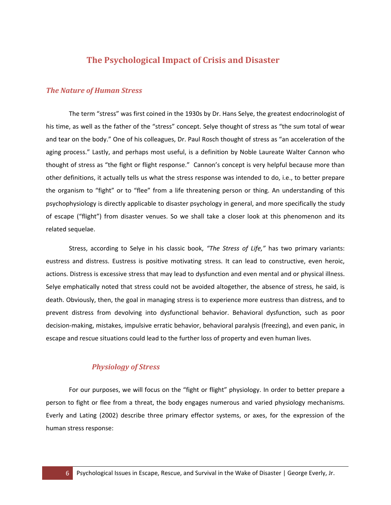### **The Psychological Impact of Crisis and Disaster**

#### *The Nature of Human Stress*

The term "stress" was first coined in the 1930s by Dr. Hans Selye, the greatest endocrinologist of his time, as well as the father of the "stress" concept. Selye thought of stress as "the sum total of wear and tear on the body." One of his colleagues, Dr. Paul Rosch thought of stress as "an acceleration of the aging process." Lastly, and perhaps most useful, is a definition by Noble Laureate Walter Cannon who thought of stress as "the fight or flight response." Cannon's concept is very helpful because more than other definitions, it actually tells us what the stress response was intended to do, i.e., to better prepare the organism to "fight" or to "flee" from a life threatening person or thing. An understanding of this psychophysiology is directly applicable to disaster psychology in general, and more specifically the study of escape ("flight") from disaster venues. So we shall take a closer look at this phenomenon and its related sequelae.

Stress, according to Selye in his classic book, *"The Stress of Life,"* has two primary variants: eustress and distress. Eustress is positive motivating stress. It can lead to constructive, even heroic, actions. Distress is excessive stress that may lead to dysfunction and even mental and or physical illness. Selye emphatically noted that stress could not be avoided altogether, the absence of stress, he said, is death. Obviously, then, the goal in managing stress is to experience more eustress than distress, and to prevent distress from devolving into dysfunctional behavior. Behavioral dysfunction, such as poor decision‐making, mistakes, impulsive erratic behavior, behavioral paralysis (freezing), and even panic, in escape and rescue situations could lead to the further loss of property and even human lives.

#### *Physiology of Stress*

For our purposes, we will focus on the "fight or flight" physiology. In order to better prepare a person to fight or flee from a threat, the body engages numerous and varied physiology mechanisms. Everly and Lating (2002) describe three primary effector systems, or axes, for the expression of the human stress response: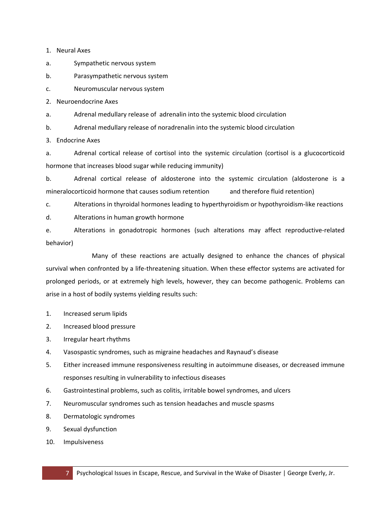1. Neural Axes

a. Sympathetic nervous system

b. Parasympathetic nervous system

c. Neuromuscular nervous system

2. Neuroendocrine Axes

a. Adrenal medullary release of adrenalin into the systemic blood circulation

b. Adrenal medullary release of noradrenalin into the systemic blood circulation

3. Endocrine Axes

a. Adrenal cortical release of cortisol into the systemic circulation (cortisol is a glucocorticoid hormone that increases blood sugar while reducing immunity)

b. Adrenal cortical release of aldosterone into the systemic circulation (aldosterone is a mineralocorticoid hormone that causes sodium retention and therefore fluid retention)

c. Alterations in thyroidal hormones leading to hyperthyroidism or hypothyroidism‐like reactions

d. Alterations in human growth hormone

e. Alterations in gonadotropic hormones (such alterations may affect reproductive‐related behavior)

 Many of these reactions are actually designed to enhance the chances of physical survival when confronted by a life-threatening situation. When these effector systems are activated for prolonged periods, or at extremely high levels, however, they can become pathogenic. Problems can arise in a host of bodily systems yielding results such:

- 1. Increased serum lipids
- 2. Increased blood pressure
- 3. Irregular heart rhythms
- 4. Vasospastic syndromes, such as migraine headaches and Raynaud's disease
- 5. Either increased immune responsiveness resulting in autoimmune diseases, or decreased immune responses resulting in vulnerability to infectious diseases
- 6. Gastrointestinal problems, such as colitis, irritable bowel syndromes, and ulcers
- 7. Neuromuscular syndromes such as tension headaches and muscle spasms
- 8. Dermatologic syndromes
- 9. Sexual dysfunction
- 10. Impulsiveness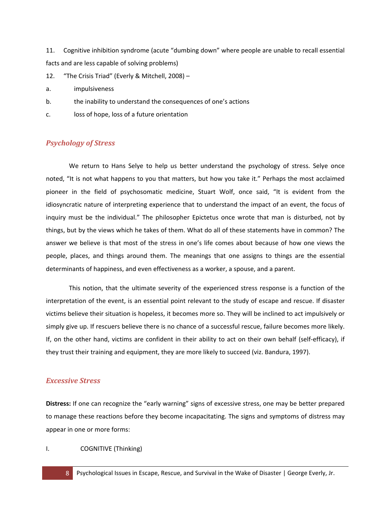11. Cognitive inhibition syndrome (acute "dumbing down" where people are unable to recall essential facts and are less capable of solving problems)

- 12. "The Crisis Triad" (Everly & Mitchell, 2008) –
- a. impulsiveness
- b. the inability to understand the consequences of one's actions
- c. loss of hope, loss of a future orientation

#### *Psychology of Stress*

We return to Hans Selye to help us better understand the psychology of stress. Selye once noted, "It is not what happens to you that matters, but how you take it." Perhaps the most acclaimed pioneer in the field of psychosomatic medicine, Stuart Wolf, once said, "It is evident from the idiosyncratic nature of interpreting experience that to understand the impact of an event, the focus of inquiry must be the individual." The philosopher Epictetus once wrote that man is disturbed, not by things, but by the views which he takes of them. What do all of these statements have in common? The answer we believe is that most of the stress in one's life comes about because of how one views the people, places, and things around them. The meanings that one assigns to things are the essential determinants of happiness, and even effectiveness as a worker, a spouse, and a parent.

This notion, that the ultimate severity of the experienced stress response is a function of the interpretation of the event, is an essential point relevant to the study of escape and rescue. If disaster victims believe their situation is hopeless, it becomes more so. They will be inclined to act impulsively or simply give up. If rescuers believe there is no chance of a successful rescue, failure becomes more likely. If, on the other hand, victims are confident in their ability to act on their own behalf (self‐efficacy), if they trust their training and equipment, they are more likely to succeed (viz. Bandura, 1997).

#### *Excessive Stress*

**Distress:** If one can recognize the "early warning" signs of excessive stress, one may be better prepared to manage these reactions before they become incapacitating. The signs and symptoms of distress may appear in one or more forms:

#### I. COGNITIVE (Thinking)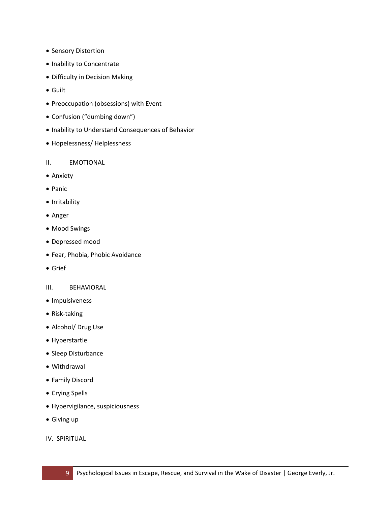- Sensory Distortion
- Inability to Concentrate
- Difficulty in Decision Making
- Guilt
- Preoccupation (obsessions) with Event
- Confusion ("dumbing down")
- Inability to Understand Consequences of Behavior
- Hopelessness/ Helplessness

#### II. EMOTIONAL

- Anxiety
- Panic
- Irritability
- Anger
- Mood Swings
- Depressed mood
- Fear, Phobia, Phobic Avoidance
- Grief

#### III. BEHAVIORAL

- Impulsiveness
- Risk‐taking
- Alcohol/ Drug Use
- Hyperstartle
- Sleep Disturbance
- Withdrawal
- Family Discord
- Crying Spells
- Hypervigilance, suspiciousness
- Giving up

IV. SPIRITUAL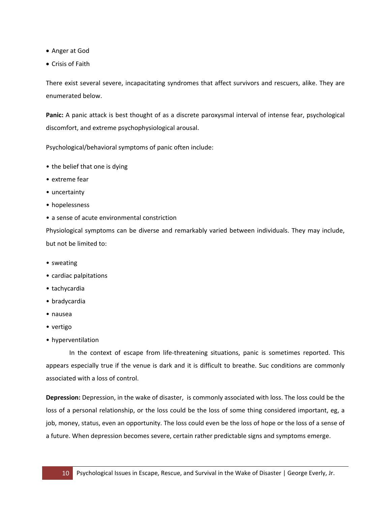- Anger at God
- Crisis of Faith

There exist several severe, incapacitating syndromes that affect survivors and rescuers, alike. They are enumerated below.

**Panic:** A panic attack is best thought of as a discrete paroxysmal interval of intense fear, psychological discomfort, and extreme psychophysiological arousal.

Psychological/behavioral symptoms of panic often include:

- the belief that one is dying
- extreme fear
- uncertainty
- hopelessness
- a sense of acute environmental constriction

Physiological symptoms can be diverse and remarkably varied between individuals. They may include, but not be limited to:

- sweating
- cardiac palpitations
- tachycardia
- bradycardia
- nausea
- vertigo
- hyperventilation

 In the context of escape from life‐threatening situations, panic is sometimes reported. This appears especially true if the venue is dark and it is difficult to breathe. Suc conditions are commonly associated with a loss of control.

**Depression:** Depression, in the wake of disaster, is commonly associated with loss. The loss could be the loss of a personal relationship, or the loss could be the loss of some thing considered important, eg, a job, money, status, even an opportunity. The loss could even be the loss of hope or the loss of a sense of a future. When depression becomes severe, certain rather predictable signs and symptoms emerge.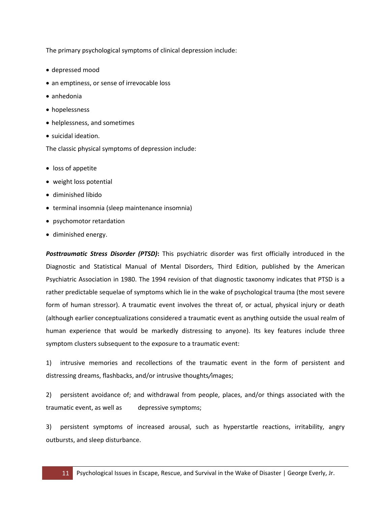The primary psychological symptoms of clinical depression include:

- depressed mood
- an emptiness, or sense of irrevocable loss
- anhedonia
- hopelessness
- helplessness, and sometimes
- suicidal ideation.

The classic physical symptoms of depression include:

- loss of appetite
- weight loss potential
- diminished libido
- terminal insomnia (sleep maintenance insomnia)
- psychomotor retardation
- diminished energy.

*Posttraumatic Stress Disorder (PTSD)***:** This psychiatric disorder was first officially introduced in the Diagnostic and Statistical Manual of Mental Disorders, Third Edition, published by the American Psychiatric Association in 1980. The 1994 revision of that diagnostic taxonomy indicates that PTSD is a rather predictable sequelae of symptoms which lie in the wake of psychological trauma (the most severe form of human stressor). A traumatic event involves the threat of, or actual, physical injury or death (although earlier conceptualizations considered a traumatic event as anything outside the usual realm of human experience that would be markedly distressing to anyone). Its key features include three symptom clusters subsequent to the exposure to a traumatic event:

1) intrusive memories and recollections of the traumatic event in the form of persistent and distressing dreams, flashbacks, and/or intrusive thoughts*/*images;

2) persistent avoidance of; and withdrawal from people, places, and/or things associated with the traumatic event, as well as depressive symptoms;

3) persistent symptoms of increased arousal, such as hyperstartle reactions, irritability, angry outbursts, and sleep disturbance.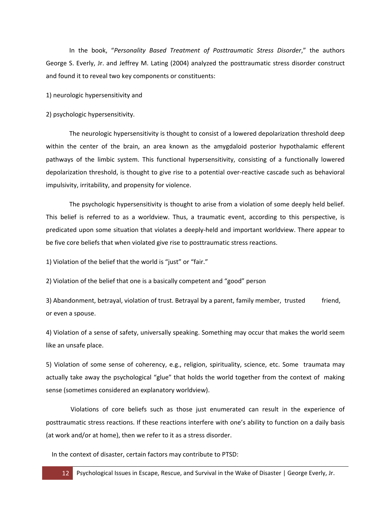In the book, "*Personality Based Treatment of Posttraumatic Stress Disorder*," the authors George S. Everly, Jr. and Jeffrey M. Lating (2004) analyzed the posttraumatic stress disorder construct and found it to reveal two key components or constituents:

1) neurologic hypersensitivity and

2) psychologic hypersensitivity.

 The neurologic hypersensitivity is thought to consist of a lowered depolarization threshold deep within the center of the brain, an area known as the amygdaloid posterior hypothalamic efferent pathways of the limbic system. This functional hypersensitivity, consisting of a functionally lowered depolarization threshold, is thought to give rise to a potential over-reactive cascade such as behavioral impulsivity, irritability, and propensity for violence.

 The psychologic hypersensitivity is thought to arise from a violation of some deeply held belief. This belief is referred to as a worldview. Thus, a traumatic event, according to this perspective, is predicated upon some situation that violates a deeply‐held and important worldview. There appear to be five core beliefs that when violated give rise to posttraumatic stress reactions.

1) Violation of the belief that the world is "just" or "fair."

2) Violation of the belief that one is a basically competent and "good" person

3) Abandonment, betrayal, violation of trust. Betrayal by a parent, family member, trusted friend, or even a spouse.

4) Violation of a sense of safety, universally speaking. Something may occur that makes the world seem like an unsafe place.

5) Violation of some sense of coherency, e.g., religion, spirituality, science, etc. Some traumata may actually take away the psychological "glue" that holds the world together from the context of making sense (sometimes considered an explanatory worldview).

Violations of core beliefs such as those just enumerated can result in the experience of posttraumatic stress reactions. If these reactions interfere with one's ability to function on a daily basis (at work and/or at home), then we refer to it as a stress disorder.

In the context of disaster, certain factors may contribute to PTSD: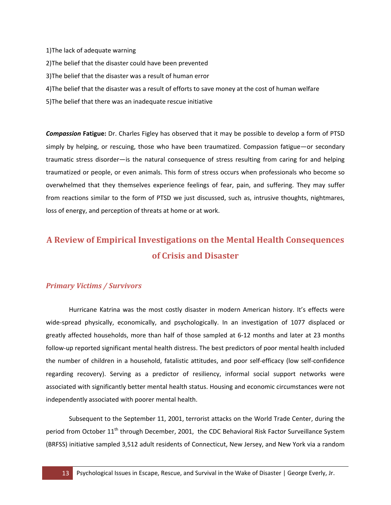1)The lack of adequate warning

- 2)The belief that the disaster could have been prevented
- 3)The belief that the disaster was a result of human error
- 4)The belief that the disaster was a result of efforts to save money at the cost of human welfare
- 5)The belief that there was an inadequate rescue initiative

*Compassion* **Fatigue:** Dr. Charles Figley has observed that it may be possible to develop a form of PTSD simply by helping, or rescuing, those who have been traumatized. Compassion fatigue—or secondary traumatic stress disorder—is the natural consequence of stress resulting from caring for and helping traumatized or people, or even animals. This form of stress occurs when professionals who become so overwhelmed that they themselves experience feelings of fear, pain, and suffering. They may suffer from reactions similar to the form of PTSD we just discussed, such as, intrusive thoughts, nightmares, loss of energy, and perception of threats at home or at work.

# **A Review of Empirical Investigations on the Mental Health Consequences of Crisis and Disaster**

#### *Primary Victims / Survivors*

Hurricane Katrina was the most costly disaster in modern American history. It's effects were wide-spread physically, economically, and psychologically. In an investigation of 1077 displaced or greatly affected households, more than half of those sampled at 6‐12 months and later at 23 months follow‐up reported significant mental health distress. The best predictors of poor mental health included the number of children in a household, fatalistic attitudes, and poor self‐efficacy (low self‐confidence regarding recovery). Serving as a predictor of resiliency, informal social support networks were associated with significantly better mental health status. Housing and economic circumstances were not independently associated with poorer mental health.

Subsequent to the September 11, 2001, terrorist attacks on the World Trade Center, during the period from October 11<sup>th</sup> through December, 2001, the CDC Behavioral Risk Factor Surveillance System (BRFSS) initiative sampled 3,512 adult residents of Connecticut, New Jersey, and New York via a random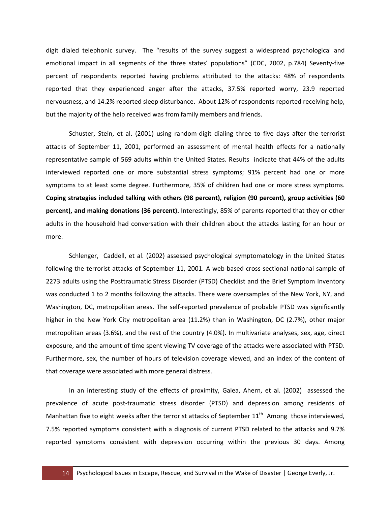digit dialed telephonic survey. The "results of the survey suggest a widespread psychological and emotional impact in all segments of the three states' populations" (CDC, 2002, p.784) Seventy-five percent of respondents reported having problems attributed to the attacks: 48% of respondents reported that they experienced anger after the attacks, 37.5% reported worry, 23.9 reported nervousness, and 14.2% reported sleep disturbance. About 12% of respondents reported receiving help, but the majority of the help received was from family members and friends.

Schuster, Stein, et al. (2001) using random‐digit dialing three to five days after the terrorist attacks of September 11, 2001, performed an assessment of mental health effects for a nationally representative sample of 569 adults within the United States. Results indicate that 44% of the adults interviewed reported one or more substantial stress symptoms; 91% percent had one or more symptoms to at least some degree. Furthermore, 35% of children had one or more stress symptoms. **Coping strategies included talking with others (98 percent), religion (90 percent), group activities (60 percent), and making donations (36 percent).** Interestingly, 85% of parents reported that they or other adults in the household had conversation with their children about the attacks lasting for an hour or more.

Schlenger, Caddell, et al. (2002) assessed psychological symptomatology in the United States following the terrorist attacks of September 11, 2001. A web-based cross-sectional national sample of 2273 adults using the Posttraumatic Stress Disorder (PTSD) Checklist and the Brief Symptom Inventory was conducted 1 to 2 months following the attacks. There were oversamples of the New York, NY, and Washington, DC, metropolitan areas. The self-reported prevalence of probable PTSD was significantly higher in the New York City metropolitan area (11.2%) than in Washington, DC (2.7%), other major metropolitan areas (3.6%), and the rest of the country (4.0%). In multivariate analyses, sex, age, direct exposure, and the amount of time spent viewing TV coverage of the attacks were associated with PTSD. Furthermore, sex, the number of hours of television coverage viewed, and an index of the content of that coverage were associated with more general distress.

In an interesting study of the effects of proximity, Galea, Ahern, et al. (2002) assessed the prevalence of acute post-traumatic stress disorder (PTSD) and depression among residents of Manhattan five to eight weeks after the terrorist attacks of September 11<sup>th</sup> Among those interviewed, 7.5% reported symptoms consistent with a diagnosis of current PTSD related to the attacks and 9.7% reported symptoms consistent with depression occurring within the previous 30 days. Among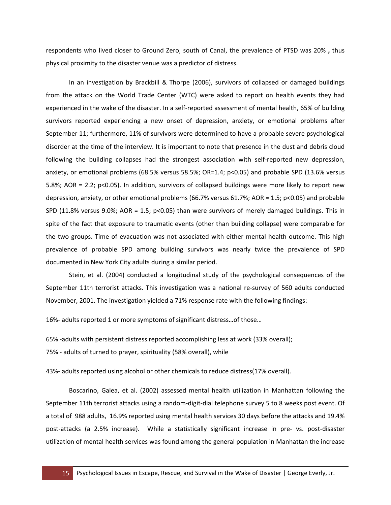respondents who lived closer to Ground Zero, south of Canal, the prevalence of PTSD was 20% **,** thus physical proximity to the disaster venue was a predictor of distress.

In an investigation by Brackbill & Thorpe (2006), survivors of collapsed or damaged buildings from the attack on the World Trade Center (WTC) were asked to report on health events they had experienced in the wake of the disaster. In a self-reported assessment of mental health, 65% of building survivors reported experiencing a new onset of depression, anxiety, or emotional problems after September 11; furthermore, 11% of survivors were determined to have a probable severe psychological disorder at the time of the interview. It is important to note that presence in the dust and debris cloud following the building collapses had the strongest association with self-reported new depression, anxiety, or emotional problems (68.5% versus 58.5%; OR=1.4; p<0.05) and probable SPD (13.6% versus 5.8%; AOR = 2.2; p<0.05). In addition, survivors of collapsed buildings were more likely to report new depression, anxiety, or other emotional problems (66.7% versus 61.7%; AOR = 1.5; p<0.05) and probable SPD (11.8% versus 9.0%; AOR = 1.5;  $p<0.05$ ) than were survivors of merely damaged buildings. This in spite of the fact that exposure to traumatic events (other than building collapse) were comparable for the two groups. Time of evacuation was not associated with either mental health outcome. This high prevalence of probable SPD among building survivors was nearly twice the prevalence of SPD documented in New York City adults during a similar period.

Stein, et al. (2004) conducted a longitudinal study of the psychological consequences of the September 11th terrorist attacks. This investigation was a national re‐survey of 560 adults conducted November, 2001. The investigation yielded a 71% response rate with the following findings:

16%‐ adults reported 1 or more symptoms of significant distress…of those…

65% ‐adults with persistent distress reported accomplishing less at work (33% overall);

75% ‐ adults of turned to prayer, spirituality (58% overall), while

43%‐ adults reported using alcohol or other chemicals to reduce distress(17% overall).

Boscarino, Galea, et al. (2002) assessed mental health utilization in Manhattan following the September 11th terrorist attacks using a random‐digit‐dial telephone survey 5 to 8 weeks post event. Of a total of 988 adults, 16.9% reported using mental health services 30 days before the attacks and 19.4% post-attacks (a 2.5% increase). While a statistically significant increase in pre- vs. post-disaster utilization of mental health services was found among the general population in Manhattan the increase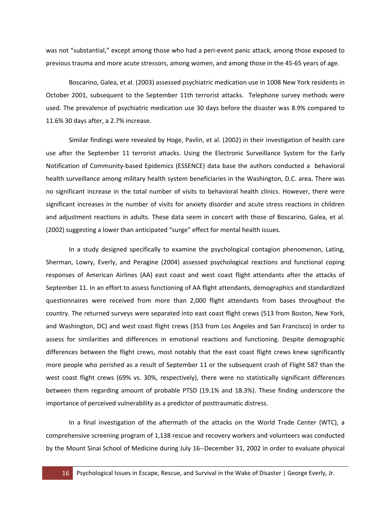was not "substantial," except among those who had a peri‐event panic attack, among those exposed to previous trauma and more acute stressors, among women, and among those in the 45‐65 years of age.

Boscarino, Galea, et al. (2003) assessed psychiatric medication use in 1008 New York residents in October 2001, subsequent to the September 11th terrorist attacks. Telephone survey methods were used. The prevalence of psychiatric medication use 30 days before the disaster was 8.9% compared to 11.6% 30 days after, a 2.7% increase.

Similar findings were revealed by Hoge, Pavlin, et al. (2002) in their investigation of health care use after the September 11 terrorist attacks. Using the Electronic Surveillance System for the Early Notification of Community‐based Epidemics (ESSENCE) data base the authors conducted a behavioral health surveillance among military health system beneficiaries in the Washington, D.C. area**.** There was no significant increase in the total number of visits to behavioral health clinics. However, there were significant increases in the number of visits for anxiety disorder and acute stress reactions in children and adjustment reactions in adults. These data seem in concert with those of Boscarino, Galea, et al. (2002) suggesting a lower than anticipated "surge" effect for mental health issues.

In a study designed specifically to examine the psychological contagion phenomenon, Lating, Sherman, Lowry, Everly, and Peragine (2004) assessed psychological reactions and functional coping responses of American Airlines (AA) east coast and west coast flight attendants after the attacks of September 11. In an effort to assess functioning of AA flight attendants, demographics and standardized questionnaires were received from more than 2,000 flight attendants from bases throughout the country. The returned surveys were separated into east coast flight crews (513 from Boston, New York, and Washington, DC) and west coast flight crews (353 from Los Angeles and San Francisco) in order to assess for similarities and differences in emotional reactions and functioning. Despite demographic differences between the flight crews, most notably that the east coast flight crews knew significantly more people who perished as a result of September 11 or the subsequent crash of Flight 587 than the west coast flight crews (69% vs. 30%, respectively), there were no statistically significant differences between them regarding amount of probable PTSD (19.1% and 18.3%). These finding underscore the importance of perceived vulnerability as a predictor of posttraumatic distress.

In a final investigation of the aftermath of the attacks on the World Trade Center (WTC), a comprehensive screening program of 1,138 rescue and recovery workers and volunteers was conducted by the Mount Sinai School of Medicine during July 16‐‐December 31, 2002 in order to evaluate physical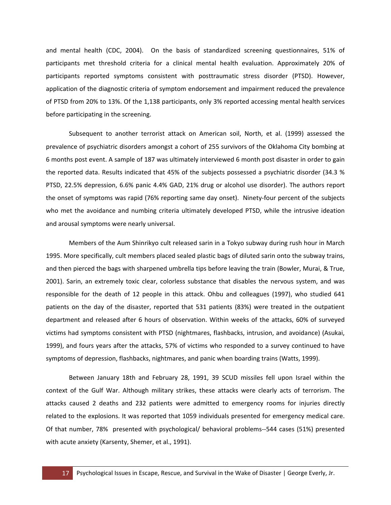and mental health (CDC, 2004). On the basis of standardized screening questionnaires, 51% of participants met threshold criteria for a clinical mental health evaluation. Approximately 20% of participants reported symptoms consistent with posttraumatic stress disorder (PTSD). However, application of the diagnostic criteria of symptom endorsement and impairment reduced the prevalence of PTSD from 20% to 13%. Of the 1,138 participants, only 3% reported accessing mental health services before participating in the screening.

Subsequent to another terrorist attack on American soil, North, et al. (1999) assessed the prevalence of psychiatric disorders amongst a cohort of 255 survivors of the Oklahoma City bombing at 6 months post event. A sample of 187 was ultimately interviewed 6 month post disaster in order to gain the reported data. Results indicated that 45% of the subjects possessed a psychiatric disorder (34.3 % PTSD, 22.5% depression, 6.6% panic 4.4% GAD, 21% drug or alcohol use disorder). The authors report the onset of symptoms was rapid (76% reporting same day onset). Ninety‐four percent of the subjects who met the avoidance and numbing criteria ultimately developed PTSD, while the intrusive ideation and arousal symptoms were nearly universal.

Members of the Aum Shinrikyo cult released sarin in a Tokyo subway during rush hour in March 1995. More specifically, cult members placed sealed plastic bags of diluted sarin onto the subway trains, and then pierced the bags with sharpened umbrella tips before leaving the train (Bowler, Murai, & True, 2001). Sarin, an extremely toxic clear, colorless substance that disables the nervous system, and was responsible for the death of 12 people in this attack. Ohbu and colleagues (1997), who studied 641 patients on the day of the disaster, reported that 531 patients (83%) were treated in the outpatient department and released after 6 hours of observation. Within weeks of the attacks, 60% of surveyed victims had symptoms consistent with PTSD (nightmares, flashbacks, intrusion, and avoidance) (Asukai, 1999), and fours years after the attacks, 57% of victims who responded to a survey continued to have symptoms of depression, flashbacks, nightmares, and panic when boarding trains (Watts, 1999).

Between January 18th and February 28, 1991, 39 SCUD missiles fell upon Israel within the context of the Gulf War. Although military strikes, these attacks were clearly acts of terrorism. The attacks caused 2 deaths and 232 patients were admitted to emergency rooms for injuries directly related to the explosions. It was reported that 1059 individuals presented for emergency medical care. Of that number, 78% presented with psychological/ behavioral problems‐‐544 cases (51%) presented with acute anxiety (Karsenty, Shemer, et al., 1991).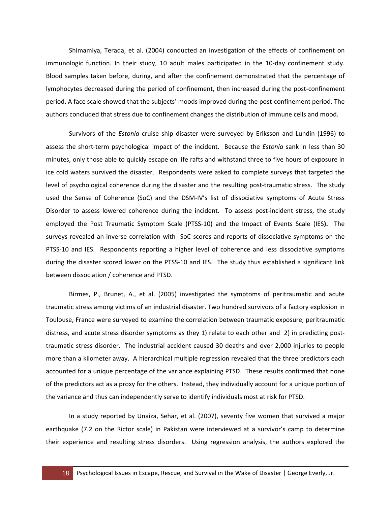Shimamiya, Terada, et al. (2004) conducted an investigation of the effects of confinement on immunologic function. In their study, 10 adult males participated in the 10-day confinement study. Blood samples taken before, during, and after the confinement demonstrated that the percentage of lymphocytes decreased during the period of confinement, then increased during the post‐confinement period. A face scale showed that the subjects' moods improved during the post-confinement period. The authors concluded that stress due to confinement changes the distribution of immune cells and mood.

Survivors of the *Estonia* cruise ship disaster were surveyed by Eriksson and Lundin (1996) to assess the short-term psychological impact of the incident. Because the *Estonia* sank in less than 30 minutes, only those able to quickly escape on life rafts and withstand three to five hours of exposure in ice cold waters survived the disaster. Respondents were asked to complete surveys that targeted the level of psychological coherence during the disaster and the resulting post-traumatic stress. The study used the Sense of Coherence (SoC) and the DSM‐IV's list of dissociative symptoms of Acute Stress Disorder to assess lowered coherence during the incident. To assess post-incident stress, the study employed the Post Traumatic Symptom Scale (PTSS‐10) and the Impact of Events Scale (IES**).**  The surveys revealed an inverse correlation with SoC scores and reports of dissociative symptoms on the PTSS‐10 and IES. Respondents reporting a higher level of coherence and less dissociative symptoms during the disaster scored lower on the PTSS-10 and IES. The study thus established a significant link between dissociation / coherence and PTSD.

Birmes, P., Brunet, A., et al. (2005) investigated the symptoms of peritraumatic and acute traumatic stress among victims of an industrial disaster. Two hundred survivors of a factory explosion in Toulouse, France were surveyed to examine the correlation between traumatic exposure, peritraumatic distress, and acute stress disorder symptoms as they 1) relate to each other and 2) in predicting posttraumatic stress disorder. The industrial accident caused 30 deaths and over 2,000 injuries to people more than a kilometer away. A hierarchical multiple regression revealed that the three predictors each accounted for a unique percentage of the variance explaining PTSD. These results confirmed that none of the predictors act as a proxy for the others. Instead, they individually account for a unique portion of the variance and thus can independently serve to identify individuals most at risk for PTSD.

In a study reported by Unaiza, Sehar, et al. (2007), seventy five women that survived a major earthquake (7.2 on the Rictor scale) in Pakistan were interviewed at a survivor's camp to determine their experience and resulting stress disorders. Using regression analysis, the authors explored the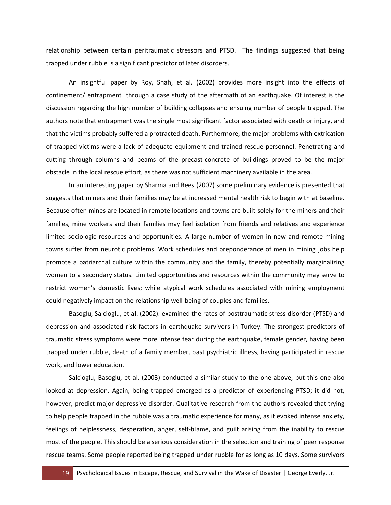relationship between certain peritraumatic stressors and PTSD. The findings suggested that being trapped under rubble is a significant predictor of later disorders.

An insightful paper by Roy, Shah, et al. (2002) provides more insight into the effects of confinement/ entrapment through a case study of the aftermath of an earthquake. Of interest is the discussion regarding the high number of building collapses and ensuing number of people trapped. The authors note that entrapment was the single most significant factor associated with death or injury, and that the victims probably suffered a protracted death. Furthermore, the major problems with extrication of trapped victims were a lack of adequate equipment and trained rescue personnel. Penetrating and cutting through columns and beams of the precast‐concrete of buildings proved to be the major obstacle in the local rescue effort, as there was not sufficient machinery available in the area.

In an interesting paper by Sharma and Rees (2007) some preliminary evidence is presented that suggests that miners and their families may be at increased mental health risk to begin with at baseline. Because often mines are located in remote locations and towns are built solely for the miners and their families, mine workers and their families may feel isolation from friends and relatives and experience limited sociologic resources and opportunities. A large number of women in new and remote mining towns suffer from neurotic problems. Work schedules and preponderance of men in mining jobs help promote a patriarchal culture within the community and the family, thereby potentially marginalizing women to a secondary status. Limited opportunities and resources within the community may serve to restrict women's domestic lives; while atypical work schedules associated with mining employment could negatively impact on the relationship well‐being of couples and families.

Basoglu, Salcioglu, et al. (2002). examined the rates of posttraumatic stress disorder (PTSD) and depression and associated risk factors in earthquake survivors in Turkey. The strongest predictors of traumatic stress symptoms were more intense fear during the earthquake, female gender, having been trapped under rubble, death of a family member, past psychiatric illness, having participated in rescue work, and lower education.

Salcioglu, Basoglu, et al. (2003) conducted a similar study to the one above, but this one also looked at depression. Again, being trapped emerged as a predictor of experiencing PTSD; it did not, however, predict major depressive disorder. Qualitative research from the authors revealed that trying to help people trapped in the rubble was a traumatic experience for many, as it evoked intense anxiety, feelings of helplessness, desperation, anger, self‐blame, and guilt arising from the inability to rescue most of the people. This should be a serious consideration in the selection and training of peer response rescue teams. Some people reported being trapped under rubble for as long as 10 days. Some survivors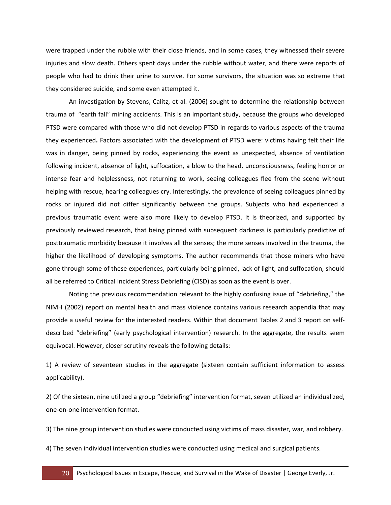were trapped under the rubble with their close friends, and in some cases, they witnessed their severe injuries and slow death. Others spent days under the rubble without water, and there were reports of people who had to drink their urine to survive. For some survivors, the situation was so extreme that they considered suicide, and some even attempted it.

An investigation by Stevens, Calitz, et al. (2006) sought to determine the relationship between trauma of "earth fall" mining accidents. This is an important study, because the groups who developed PTSD were compared with those who did not develop PTSD in regards to various aspects of the trauma they experienced**.** Factors associated with the development of PTSD were: victims having felt their life was in danger, being pinned by rocks, experiencing the event as unexpected, absence of ventilation following incident, absence of light, suffocation, a blow to the head, unconsciousness, feeling horror or intense fear and helplessness, not returning to work, seeing colleagues flee from the scene without helping with rescue, hearing colleagues cry. Interestingly, the prevalence of seeing colleagues pinned by rocks or injured did not differ significantly between the groups. Subjects who had experienced a previous traumatic event were also more likely to develop PTSD. It is theorized, and supported by previously reviewed research, that being pinned with subsequent darkness is particularly predictive of posttraumatic morbidity because it involves all the senses; the more senses involved in the trauma, the higher the likelihood of developing symptoms. The author recommends that those miners who have gone through some of these experiences, particularly being pinned, lack of light, and suffocation, should all be referred to Critical Incident Stress Debriefing (CISD) as soon as the event is over.

Noting the previous recommendation relevant to the highly confusing issue of "debriefing," the NIMH (2002) report on mental health and mass violence contains various research appendia that may provide a useful review for the interested readers. Within that document Tables 2 and 3 report on self‐ described "debriefing" (early psychological intervention) research. In the aggregate, the results seem equivocal. However, closer scrutiny reveals the following details:

1) A review of seventeen studies in the aggregate (sixteen contain sufficient information to assess applicability).

2) Of the sixteen, nine utilized a group "debriefing" intervention format, seven utilized an individualized, one‐on‐one intervention format.

3) The nine group intervention studies were conducted using victims of mass disaster, war, and robbery.

4) The seven individual intervention studies were conducted using medical and surgical patients.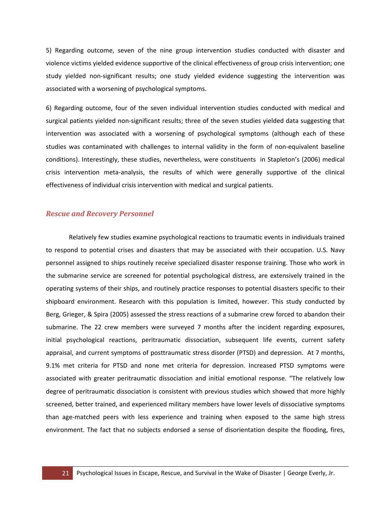5) Regarding outcome, seven of the nine group intervention studies conducted with disaster and violence victims yielded evidence supportive of the clinical effectiveness of group crisis intervention; one study yielded non‐significant results; one study yielded evidence suggesting the intervention was associated with a worsening of psychological symptoms.

6) Regarding outcome, four of the seven individual intervention studies conducted with medical and surgical patients yielded non‐significant results; three of the seven studies yielded data suggesting that intervention was associated with a worsening of psychological symptoms (although each of these studies was contaminated with challenges to internal validity in the form of non-equivalent baseline conditions). Interestingly, these studies, nevertheless, were constituents in Stapleton's (2006) medical crisis intervention meta‐analysis, the results of which were generally supportive of the clinical effectiveness of individual crisis intervention with medical and surgical patients.

#### *Rescue and Recovery Personnel*

Relatively few studies examine psychological reactions to traumatic events in individuals trained to respond to potential crises and disasters that may be associated with their occupation. U.S. Navy personnel assigned to ships routinely receive specialized disaster response training. Those who work in the submarine service are screened for potential psychological distress, are extensively trained in the operating systems of their ships, and routinely practice responses to potential disasters specific to their shipboard environment. Research with this population is limited, however. This study conducted by Berg, Grieger, & Spira (2005) assessed the stress reactions of a submarine crew forced to abandon their submarine. The 22 crew members were surveyed 7 months after the incident regarding exposures, initial psychological reactions, peritraumatic dissociation, subsequent life events, current safety appraisal, and current symptoms of posttraumatic stress disorder (PTSD) and depression. At 7 months, 9.1% met criteria for PTSD and none met criteria for depression. Increased PTSD symptoms were associated with greater peritraumatic dissociation and initial emotional response. "The relatively low degree of peritraumatic dissociation is consistent with previous studies which showed that more highly screened, better trained, and experienced military members have lower levels of dissociative symptoms than age-matched peers with less experience and training when exposed to the same high stress environment. The fact that no subjects endorsed a sense of disorientation despite the flooding, fires,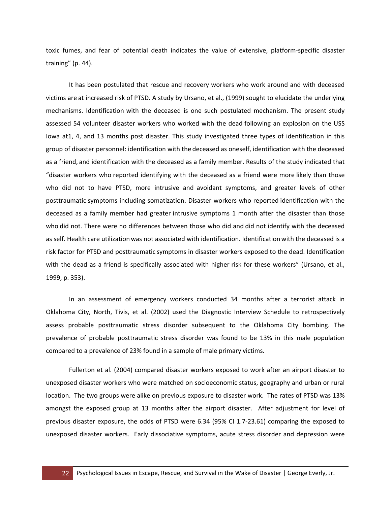toxic fumes, and fear of potential death indicates the value of extensive, platform‐specific disaster training" (p. 44).

It has been postulated that rescue and recovery workers who work around and with deceased victims are at increased risk of PTSD. A study by Ursano, et al., (1999) sought to elucidate the underlying mechanisms. Identification with the deceased is one such postulated mechanism. The present study assessed 54 volunteer disaster workers who worked with the dead following an explosion on the USS Iowa at1, 4, and 13 months post disaster. This study investigated three types of identification in this group of disaster personnel: identification with the deceased as oneself, identification with the deceased as a friend, and identification with the deceased as a family member. Results of the study indicated that "disaster workers who reported identifying with the deceased as a friend were more likely than those who did not to have PTSD, more intrusive and avoidant symptoms, and greater levels of other posttraumatic symptoms including somatization. Disaster workers who reported identification with the deceased as a family member had greater intrusive symptoms 1 month after the disaster than those who did not. There were no differences between those who did and did not identify with the deceased as self. Health care utilization was not associated with identification. Identification with the deceased is a risk factor for PTSD and posttraumatic symptoms in disaster workers exposed to the dead. Identification with the dead as a friend is specifically associated with higher risk for these workers" (Ursano, et al., 1999, p. 353).

In an assessment of emergency workers conducted 34 months after a terrorist attack in Oklahoma City, North, Tivis, et al. (2002) used the Diagnostic Interview Schedule to retrospectively assess probable posttraumatic stress disorder subsequent to the Oklahoma City bombing. The prevalence of probable posttraumatic stress disorder was found to be 13% in this male population compared to a prevalence of 23% found in a sample of male primary victims.

Fullerton et al. (2004) compared disaster workers exposed to work after an airport disaster to unexposed disaster workers who were matched on socioeconomic status, geography and urban or rural location. The two groups were alike on previous exposure to disaster work. The rates of PTSD was 13% amongst the exposed group at 13 months after the airport disaster. After adjustment for level of previous disaster exposure, the odds of PTSD were 6.34 (95% CI 1.7‐23.61) comparing the exposed to unexposed disaster workers. Early dissociative symptoms, acute stress disorder and depression were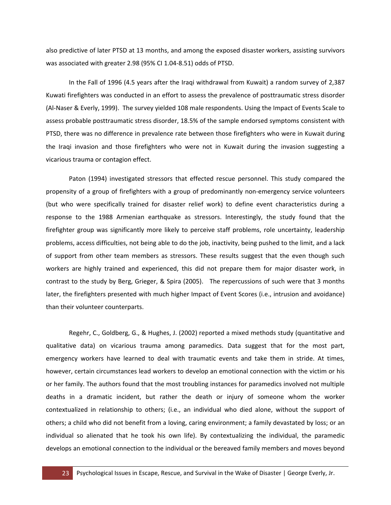also predictive of later PTSD at 13 months, and among the exposed disaster workers, assisting survivors was associated with greater 2.98 (95% CI 1.04‐8.51) odds of PTSD.

In the Fall of 1996 (4.5 years after the Iraqi withdrawal from Kuwait) a random survey of 2,387 Kuwati firefighters was conducted in an effort to assess the prevalence of posttraumatic stress disorder (Al‐Naser & Everly, 1999). The survey yielded 108 male respondents. Using the Impact of Events Scale to assess probable posttraumatic stress disorder, 18.5% of the sample endorsed symptoms consistent with PTSD, there was no difference in prevalence rate between those firefighters who were in Kuwait during the Iraqi invasion and those firefighters who were not in Kuwait during the invasion suggesting a vicarious trauma or contagion effect.

Paton (1994) investigated stressors that effected rescue personnel. This study compared the propensity of a group of firefighters with a group of predominantly non‐emergency service volunteers (but who were specifically trained for disaster relief work) to define event characteristics during a response to the 1988 Armenian earthquake as stressors. Interestingly, the study found that the firefighter group was significantly more likely to perceive staff problems, role uncertainty, leadership problems, access difficulties, not being able to do the job, inactivity, being pushed to the limit, and a lack of support from other team members as stressors. These results suggest that the even though such workers are highly trained and experienced, this did not prepare them for major disaster work, in contrast to the study by Berg, Grieger, & Spira (2005). The repercussions of such were that 3 months later, the firefighters presented with much higher Impact of Event Scores (i.e., intrusion and avoidance) than their volunteer counterparts.

Regehr, C., Goldberg, G., & Hughes, J. (2002) reported a mixed methods study (quantitative and qualitative data) on vicarious trauma among paramedics. Data suggest that for the most part, emergency workers have learned to deal with traumatic events and take them in stride. At times, however, certain circumstances lead workers to develop an emotional connection with the victim or his or her family. The authors found that the most troubling instances for paramedics involved not multiple deaths in a dramatic incident, but rather the death or injury of someone whom the worker contextualized in relationship to others; (i.e., an individual who died alone, without the support of others; a child who did not benefit from a loving, caring environment; a family devastated by loss; or an individual so alienated that he took his own life). By contextualizing the individual, the paramedic develops an emotional connection to the individual or the bereaved family members and moves beyond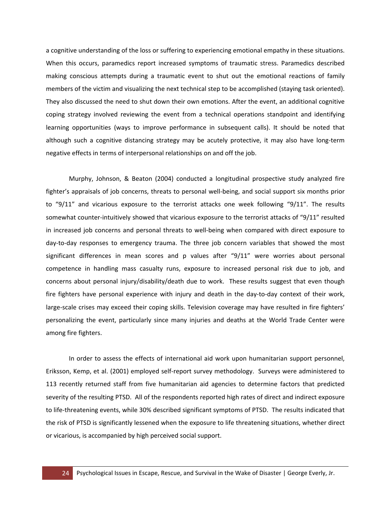a cognitive understanding of the loss or suffering to experiencing emotional empathy in these situations. When this occurs, paramedics report increased symptoms of traumatic stress. Paramedics described making conscious attempts during a traumatic event to shut out the emotional reactions of family members of the victim and visualizing the next technical step to be accomplished (staying task oriented). They also discussed the need to shut down their own emotions. After the event, an additional cognitive coping strategy involved reviewing the event from a technical operations standpoint and identifying learning opportunities (ways to improve performance in subsequent calls). It should be noted that although such a cognitive distancing strategy may be acutely protective, it may also have long-term negative effects in terms of interpersonal relationships on and off the job.

Murphy, Johnson, & Beaton (2004) conducted a longitudinal prospective study analyzed fire fighter's appraisals of job concerns, threats to personal well‐being, and social support six months prior to "9/11" and vicarious exposure to the terrorist attacks one week following "9/11". The results somewhat counter-intuitively showed that vicarious exposure to the terrorist attacks of "9/11" resulted in increased job concerns and personal threats to well‐being when compared with direct exposure to day‐to‐day responses to emergency trauma. The three job concern variables that showed the most significant differences in mean scores and p values after "9/11" were worries about personal competence in handling mass casualty runs, exposure to increased personal risk due to job, and concerns about personal injury/disability/death due to work. These results suggest that even though fire fighters have personal experience with injury and death in the day-to-day context of their work, large-scale crises may exceed their coping skills. Television coverage may have resulted in fire fighters' personalizing the event, particularly since many injuries and deaths at the World Trade Center were among fire fighters.

In order to assess the effects of international aid work upon humanitarian support personnel, Eriksson, Kemp, et al. (2001) employed self‐report survey methodology. Surveys were administered to 113 recently returned staff from five humanitarian aid agencies to determine factors that predicted severity of the resulting PTSD. All of the respondents reported high rates of direct and indirect exposure to life-threatening events, while 30% described significant symptoms of PTSD. The results indicated that the risk of PTSD is significantly lessened when the exposure to life threatening situations, whether direct or vicarious, is accompanied by high perceived social support.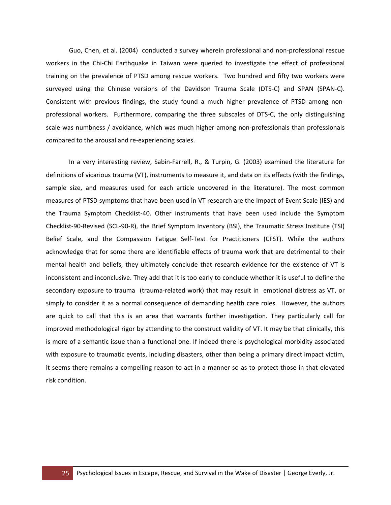Guo, Chen, et al. (2004) conducted a survey wherein professional and non‐professional rescue workers in the Chi-Chi Earthquake in Taiwan were queried to investigate the effect of professional training on the prevalence of PTSD among rescue workers. Two hundred and fifty two workers were surveyed using the Chinese versions of the Davidson Trauma Scale (DTS‐C) and SPAN (SPAN‐C). Consistent with previous findings, the study found a much higher prevalence of PTSD among non‐ professional workers. Furthermore, comparing the three subscales of DTS‐C, the only distinguishing scale was numbness / avoidance, which was much higher among non‐professionals than professionals compared to the arousal and re‐experiencing scales.

In a very interesting review, Sabin‐Farrell, R., & Turpin, G. (2003) examined the literature for definitions of vicarious trauma (VT), instruments to measure it, and data on its effects (with the findings, sample size, and measures used for each article uncovered in the literature). The most common measures of PTSD symptoms that have been used in VT research are the Impact of Event Scale (IES) and the Trauma Symptom Checklist-40. Other instruments that have been used include the Symptom Checklist‐90‐Revised (SCL‐90‐R), the Brief Symptom Inventory (BSI), the Traumatic Stress Institute (TSI) Belief Scale, and the Compassion Fatigue Self‐Test for Practitioners (CFST). While the authors acknowledge that for some there are identifiable effects of trauma work that are detrimental to their mental health and beliefs, they ultimately conclude that research evidence for the existence of VT is inconsistent and inconclusive. They add that it is too early to conclude whether it is useful to define the secondary exposure to trauma (trauma-related work) that may result in emotional distress as VT, or simply to consider it as a normal consequence of demanding health care roles. However, the authors are quick to call that this is an area that warrants further investigation. They particularly call for improved methodological rigor by attending to the construct validity of VT. It may be that clinically, this is more of a semantic issue than a functional one. If indeed there is psychological morbidity associated with exposure to traumatic events, including disasters, other than being a primary direct impact victim, it seems there remains a compelling reason to act in a manner so as to protect those in that elevated risk condition.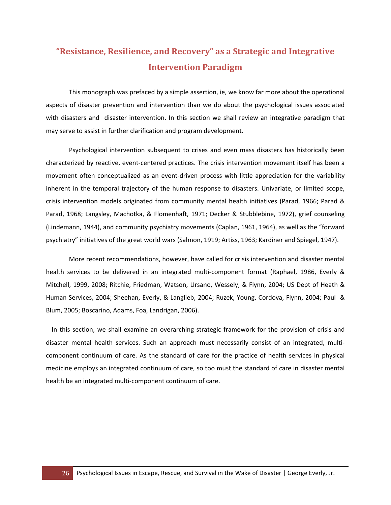## **"Resistance, Resilience, and Recovery" as a Strategic and Integrative Intervention Paradigm**

This monograph was prefaced by a simple assertion, ie, we know far more about the operational aspects of disaster prevention and intervention than we do about the psychological issues associated with disasters and disaster intervention. In this section we shall review an integrative paradigm that may serve to assist in further clarification and program development.

Psychological intervention subsequent to crises and even mass disasters has historically been characterized by reactive, event‐centered practices. The crisis intervention movement itself has been a movement often conceptualized as an event-driven process with little appreciation for the variability inherent in the temporal trajectory of the human response to disasters. Univariate, or limited scope, crisis intervention models originated from community mental health initiatives (Parad, 1966; Parad & Parad, 1968; Langsley, Machotka, & Flomenhaft, 1971; Decker & Stubblebine, 1972), grief counseling (Lindemann, 1944), and community psychiatry movements (Caplan, 1961, 1964), as well as the "forward psychiatry" initiatives of the great world wars (Salmon, 1919; Artiss, 1963; Kardiner and Spiegel, 1947).

More recent recommendations, however, have called for crisis intervention and disaster mental health services to be delivered in an integrated multi-component format (Raphael, 1986, Everly & Mitchell, 1999, 2008; Ritchie, Friedman, Watson, Ursano, Wessely, & Flynn, 2004; US Dept of Heath & Human Services, 2004; Sheehan, Everly, & Langlieb, 2004; Ruzek, Young, Cordova, Flynn, 2004; Paul & Blum, 2005; Boscarino, Adams, Foa, Landrigan, 2006).

In this section, we shall examine an overarching strategic framework for the provision of crisis and disaster mental health services. Such an approach must necessarily consist of an integrated, multi‐ component continuum of care. As the standard of care for the practice of health services in physical medicine employs an integrated continuum of care, so too must the standard of care in disaster mental health be an integrated multi‐component continuum of care.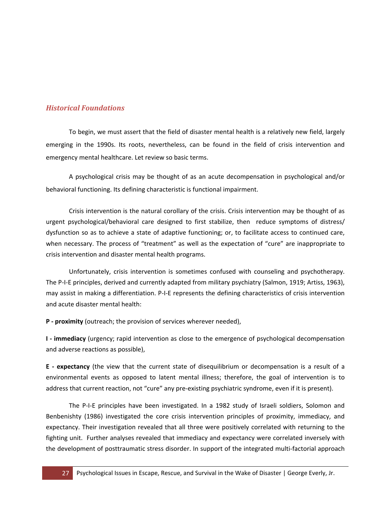#### *Historical Foundations*

To begin, we must assert that the field of disaster mental health is a relatively new field, largely emerging in the 1990s. Its roots, nevertheless, can be found in the field of crisis intervention and emergency mental healthcare. Let review so basic terms.

A psychological crisis may be thought of as an acute decompensation in psychological and/or behavioral functioning. Its defining characteristic is functional impairment.

 Crisis intervention is the natural corollary of the crisis. Crisis intervention may be thought of as urgent psychological/behavioral care designed to first stabilize, then reduce symptoms of distress/ dysfunction so as to achieve a state of adaptive functioning; or, to facilitate access to continued care, when necessary. The process of "treatment" as well as the expectation of "cure" are inappropriate to crisis intervention and disaster mental health programs.

 Unfortunately, crisis intervention is sometimes confused with counseling and psychotherapy. The P-I-E principles, derived and currently adapted from military psychiatry (Salmon, 1919; Artiss, 1963), may assist in making a differentiation. P-I-E represents the defining characteristics of crisis intervention and acute disaster mental health:

**P ‐ proximity** (outreach; the provision of services wherever needed),

**I ‐ immediacy** (urgency; rapid intervention as close to the emergence of psychological decompensation and adverse reactions as possible),

**E** - **expectancy** (the view that the current state of disequilibrium or decompensation is a result of a environmental events as opposed to latent mental illness; therefore, the goal of intervention is to address that current reaction, not "cure" any pre-existing psychiatric syndrome, even if it is present).

The P‐I‐E principles have been investigated. In a 1982 study of Israeli soldiers, Solomon and Benbenishty (1986) investigated the core crisis intervention principles of proximity, immediacy, and expectancy. Their investigation revealed that all three were positively correlated with returning to the fighting unit. Further analyses revealed that immediacy and expectancy were correlated inversely with the development of posttraumatic stress disorder. In support of the integrated multi‐factorial approach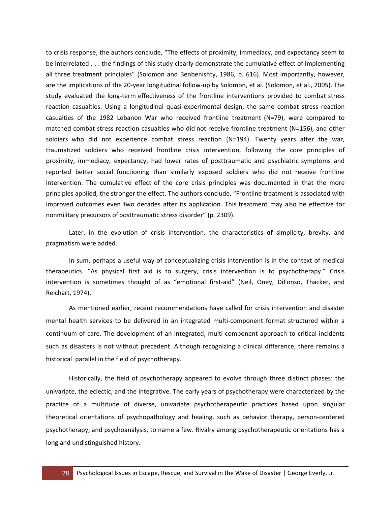to crisis response, the authors conclude, "The effects of proximity, immediacy, and expectancy seem to be interrelated . . . the findings of this study clearly demonstrate the cumulative effect of implementing all three treatment principles" (Solomon and Benbenishty, 1986, p. 616). Most importantly, however, are the implications of the 20‐year longitudinal follow‐up by Solomon, et al. (Solomon, et al., 2005). The study evaluated the long‐term effectiveness of the frontline interventions provided to combat stress reaction casualties. Using a longitudinal quasi‐experimental design, the same combat stress reaction casualties of the 1982 Lebanon War who received frontline treatment (N=79), were compared to matched combat stress reaction casualties who did not receive frontline treatment (N=156), and other soldiers who did not experience combat stress reaction (N=194). Twenty years after the war, traumatized soldiers who received frontline crisis intervention, following the core principles of proximity, immediacy, expectancy, had lower rates of posttraumatic and psychiatric symptoms and reported better social functioning than similarly exposed soldiers who did not receive frontline intervention. The cumulative effect of the core crisis principles was documented in that the more principles applied, the stronger the effect. The authors conclude, "Frontline treatment is associated with improved outcomes even two decades after its application. This treatment may also be effective for nonmilitary precursors of posttraumatic stress disorder" (p. 2309).

Later, in the evolution of crisis intervention, the characteristics **of** simplicity, brevity, and pragmatism were added.

In sum, perhaps a useful way of conceptualizing crisis intervention is in the context of medical therapeutics. "As physical first aid is to surgery, crisis intervention is to psychotherapy." Crisis intervention is sometimes thought of as "emotional first-aid" (Neil, Oney, DiFonso, Thacker, and Reichart, 1974).

 As mentioned earlier, recent recommendations have called for crisis intervention and disaster mental health services to be delivered in an integrated multi‐component format structured within a continuum of care. The development of an integrated, multi‐component approach to critical incidents such as disasters is not without precedent. Although recognizing a clinical difference, there remains a historical parallel in the field of psychotherapy.

Historically, the field of psychotherapy appeared to evolve through three distinct phases: the univariate, the eclectic, and the integrative. The early years of psychotherapy were characterized by the practice of a multitude of diverse, univariate psychotherapeutic practices based upon singular theoretical orientations of psychopathology and healing, such as behavior therapy, person‐centered psychotherapy, and psychoanalysis, to name a few. Rivalry among psychotherapeutic orientations has a long and undistinguished history.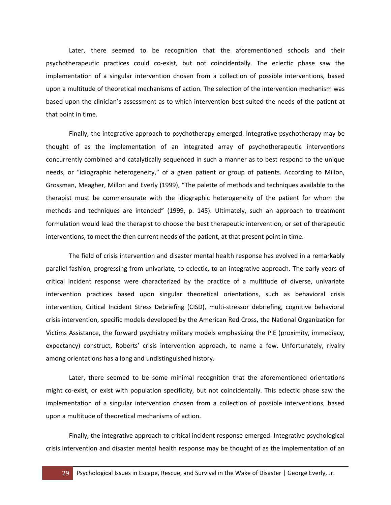Later, there seemed to be recognition that the aforementioned schools and their psychotherapeutic practices could co‐exist, but not coincidentally. The eclectic phase saw the implementation of a singular intervention chosen from a collection of possible interventions, based upon a multitude of theoretical mechanisms of action. The selection of the intervention mechanism was based upon the clinician's assessment as to which intervention best suited the needs of the patient at that point in time.

Finally, the integrative approach to psychotherapy emerged. Integrative psychotherapy may be thought of as the implementation of an integrated array of psychotherapeutic interventions concurrently combined and catalytically sequenced in such a manner as to best respond to the unique needs, or "idiographic heterogeneity," of a given patient or group of patients. According to Millon, Grossman, Meagher, Millon and Everly (1999), "The palette of methods and techniques available to the therapist must be commensurate with the idiographic heterogeneity of the patient for whom the methods and techniques are intended" (1999, p. 145). Ultimately, such an approach to treatment formulation would lead the therapist to choose the best therapeutic intervention, or set of therapeutic interventions, to meet the then current needs of the patient, at that present point in time.

The field of crisis intervention and disaster mental health response has evolved in a remarkably parallel fashion, progressing from univariate, to eclectic, to an integrative approach. The early years of critical incident response were characterized by the practice of a multitude of diverse, univariate intervention practices based upon singular theoretical orientations, such as behavioral crisis intervention, Critical Incident Stress Debriefing (CISD), multi‐stressor debriefing, cognitive behavioral crisis intervention, specific models developed by the American Red Cross, the National Organization for Victims Assistance, the forward psychiatry military models emphasizing the PIE (proximity, immediacy, expectancy) construct, Roberts' crisis intervention approach, to name a few. Unfortunately, rivalry among orientations has a long and undistinguished history.

Later, there seemed to be some minimal recognition that the aforementioned orientations might co-exist, or exist with population specificity, but not coincidentally. This eclectic phase saw the implementation of a singular intervention chosen from a collection of possible interventions, based upon a multitude of theoretical mechanisms of action.

Finally, the integrative approach to critical incident response emerged. Integrative psychological crisis intervention and disaster mental health response may be thought of as the implementation of an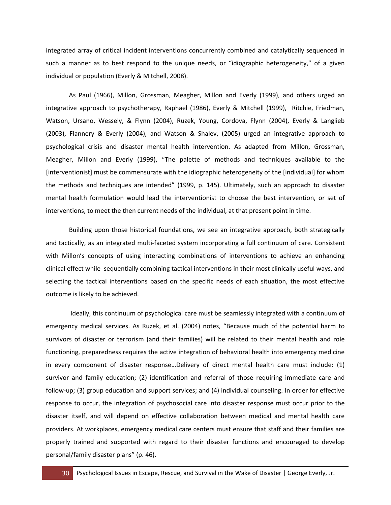integrated array of critical incident interventions concurrently combined and catalytically sequenced in such a manner as to best respond to the unique needs, or "idiographic heterogeneity," of a given individual or population (Everly & Mitchell, 2008).

As Paul (1966), Millon, Grossman, Meagher, Millon and Everly (1999), and others urged an integrative approach to psychotherapy, Raphael (1986), Everly & Mitchell (1999), Ritchie, Friedman, Watson, Ursano, Wessely, & Flynn (2004), Ruzek, Young, Cordova, Flynn (2004), Everly & Langlieb (2003), Flannery & Everly (2004), and Watson & Shalev, (2005) urged an integrative approach to psychological crisis and disaster mental health intervention. As adapted from Millon, Grossman, Meagher, Millon and Everly (1999), "The palette of methods and techniques available to the [interventionist] must be commensurate with the idiographic heterogeneity of the [individual] for whom the methods and techniques are intended" (1999, p. 145). Ultimately, such an approach to disaster mental health formulation would lead the interventionist to choose the best intervention, or set of interventions, to meet the then current needs of the individual, at that present point in time.

Building upon those historical foundations, we see an integrative approach, both strategically and tactically, as an integrated multi-faceted system incorporating a full continuum of care. Consistent with Millon's concepts of using interacting combinations of interventions to achieve an enhancing clinical effect while sequentially combining tactical interventions in their most clinically useful ways, and selecting the tactical interventions based on the specific needs of each situation, the most effective outcome is likely to be achieved.

 Ideally, this continuum of psychological care must be seamlessly integrated with a continuum of emergency medical services. As Ruzek, et al. (2004) notes, "Because much of the potential harm to survivors of disaster or terrorism (and their families) will be related to their mental health and role functioning, preparedness requires the active integration of behavioral health into emergency medicine in every component of disaster response…Delivery of direct mental health care must include: (1) survivor and family education; (2) identification and referral of those requiring immediate care and follow‐up; (3) group education and support services; and (4) individual counseling. In order for effective response to occur, the integration of psychosocial care into disaster response must occur prior to the disaster itself, and will depend on effective collaboration between medical and mental health care providers. At workplaces, emergency medical care centers must ensure that staff and their families are properly trained and supported with regard to their disaster functions and encouraged to develop personal/family disaster plans" (p. 46).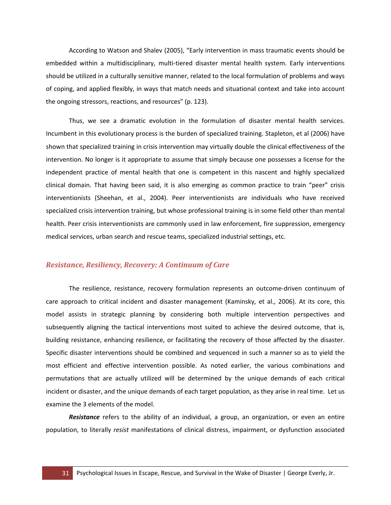According to Watson and Shalev (2005), "Early intervention in mass traumatic events should be embedded within a multidisciplinary, multi-tiered disaster mental health system. Early interventions should be utilized in a culturally sensitive manner, related to the local formulation of problems and ways of coping, and applied flexibly, in ways that match needs and situational context and take into account the ongoing stressors, reactions, and resources" (p. 123).

Thus, we see a dramatic evolution in the formulation of disaster mental health services. Incumbent in this evolutionary process is the burden of specialized training. Stapleton, et al (2006) have shown that specialized training in crisis intervention may virtually double the clinical effectiveness of the intervention. No longer is it appropriate to assume that simply because one possesses a license for the independent practice of mental health that one is competent in this nascent and highly specialized clinical domain. That having been said, it is also emerging as common practice to train "peer" crisis interventionists (Sheehan, et al., 2004). Peer interventionists are individuals who have received specialized crisis intervention training, but whose professional training is in some field other than mental health. Peer crisis interventionists are commonly used in law enforcement, fire suppression, emergency medical services, urban search and rescue teams, specialized industrial settings, etc.

#### *Resistance, Resiliency, Recovery: A Continuum of Care*

The resilience, resistance, recovery formulation represents an outcome‐driven continuum of care approach to critical incident and disaster management (Kaminsky, et al., 2006). At its core, this model assists in strategic planning by considering both multiple intervention perspectives and subsequently aligning the tactical interventions most suited to achieve the desired outcome, that is, building resistance, enhancing resilience, or facilitating the recovery of those affected by the disaster. Specific disaster interventions should be combined and sequenced in such a manner so as to yield the most efficient and effective intervention possible. As noted earlier, the various combinations and permutations that are actually utilized will be determined by the unique demands of each critical incident or disaster, and the unique demands of each target population, as they arise in real time. Let us examine the 3 elements of the model.

*Resistance* refers to the ability of an individual, a group, an organization, or even an entire population, to literally *resist* manifestations of clinical distress, impairment, or dysfunction associated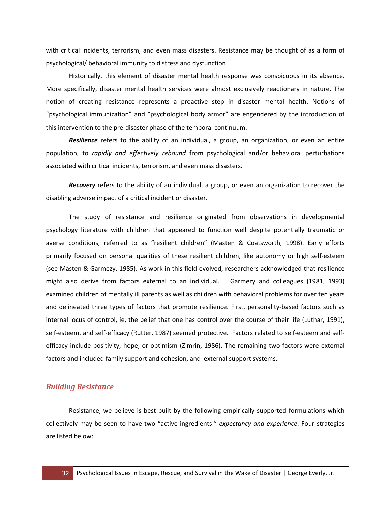with critical incidents, terrorism, and even mass disasters. Resistance may be thought of as a form of psychological/ behavioral immunity to distress and dysfunction.

Historically, this element of disaster mental health response was conspicuous in its absence. More specifically, disaster mental health services were almost exclusively reactionary in nature. The notion of creating resistance represents a proactive step in disaster mental health. Notions of "psychological immunization" and "psychological body armor" are engendered by the introduction of this intervention to the pre‐disaster phase of the temporal continuum.

*Resilience* refers to the ability of an individual, a group, an organization, or even an entire population, to *rapidly and effectively rebound* from psychological and/or behavioral perturbations associated with critical incidents, terrorism, and even mass disasters.

*Recovery* refers to the ability of an individual, a group, or even an organization to recover the disabling adverse impact of a critical incident or disaster.

The study of resistance and resilience originated from observations in developmental psychology literature with children that appeared to function well despite potentially traumatic or averse conditions, referred to as "resilient children" (Masten & Coatsworth, 1998). Early efforts primarily focused on personal qualities of these resilient children, like autonomy or high self‐esteem (see Masten & Garmezy, 1985). As work in this field evolved, researchers acknowledged that resilience might also derive from factors external to an individual. Garmezy and colleagues (1981, 1993) examined children of mentally ill parents as well as children with behavioral problems for over ten years and delineated three types of factors that promote resilience. First, personality-based factors such as internal locus of control, ie, the belief that one has control over the course of their life (Luthar, 1991), self-esteem, and self-efficacy (Rutter, 1987) seemed protective. Factors related to self-esteem and selfefficacy include positivity, hope, or optimism (Zimrin, 1986). The remaining two factors were external factors and included family support and cohesion, and external support systems.

#### *Building Resistance*

Resistance, we believe is best built by the following empirically supported formulations which collectively may be seen to have two "active ingredients:" *expectancy and experience*. Four strategies are listed below: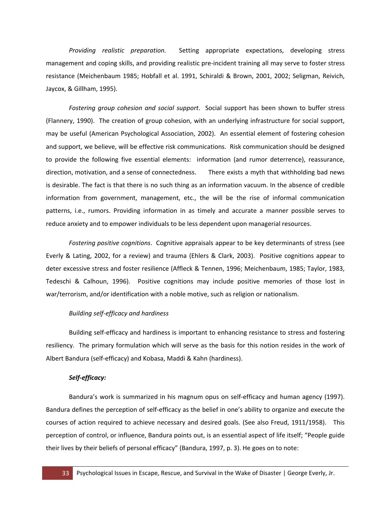*Providing realistic preparation.*  Setting appropriate expectations, developing stress management and coping skills, and providing realistic pre‐incident training all may serve to foster stress resistance (Meichenbaum 1985; Hobfall et al. 1991, Schiraldi & Brown, 2001, 2002; Seligman, Reivich, Jaycox, & Gillham, 1995).

*Fostering group cohesion and social support*. Social support has been shown to buffer stress (Flannery, 1990). The creation of group cohesion, with an underlying infrastructure for social support, may be useful (American Psychological Association, 2002). An essential element of fostering cohesion and support, we believe, will be effective risk communications. Risk communication should be designed to provide the following five essential elements: information (and rumor deterrence), reassurance, direction, motivation, and a sense of connectedness. There exists a myth that withholding bad news is desirable. The fact is that there is no such thing as an information vacuum. In the absence of credible information from government, management, etc., the will be the rise of informal communication patterns, i.e., rumors. Providing information in as timely and accurate a manner possible serves to reduce anxiety and to empower individuals to be less dependent upon managerial resources.

*Fostering positive cognitions*. Cognitive appraisals appear to be key determinants of stress (see Everly & Lating, 2002, for a review) and trauma (Ehlers & Clark, 2003). Positive cognitions appear to deter excessive stress and foster resilience (Affleck & Tennen, 1996; Meichenbaum, 1985; Taylor, 1983, Tedeschi & Calhoun, 1996). Positive cognitions may include positive memories of those lost in war/terrorism, and/or identification with a noble motive, such as religion or nationalism.

#### *Building self‐efficacy and hardiness*

Building self‐efficacy and hardiness is important to enhancing resistance to stress and fostering resiliency. The primary formulation which will serve as the basis for this notion resides in the work of Albert Bandura (self‐efficacy) and Kobasa, Maddi & Kahn (hardiness).

#### *Self‐efficacy:*

Bandura's work is summarized in his magnum opus on self‐efficacy and human agency (1997). Bandura defines the perception of self‐efficacy as the belief in one's ability to organize and execute the courses of action required to achieve necessary and desired goals. (See also Freud, 1911/1958).This perception of control, or influence, Bandura points out, is an essential aspect of life itself; "People guide their lives by their beliefs of personal efficacy" (Bandura, 1997, p. 3). He goes on to note: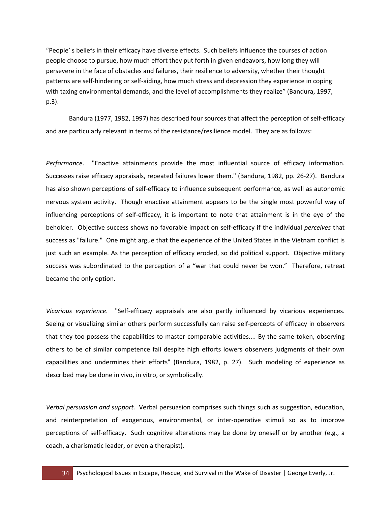"People' s beliefs in their efficacy have diverse effects. Such beliefs influence the courses of action people choose to pursue, how much effort they put forth in given endeavors, how long they will persevere in the face of obstacles and failures, their resilience to adversity, whether their thought patterns are self‐hindering or self‐aiding, how much stress and depression they experience in coping with taxing environmental demands, and the level of accomplishments they realize" (Bandura, 1997, p.3).

Bandura (1977, 1982, 1997) has described four sources that affect the perception of self‐efficacy and are particularly relevant in terms of the resistance/resilience model. They are as follows:

*Performance*. "Enactive attainments provide the most influential source of efficacy information. Successes raise efficacy appraisals, repeated failures lower them." (Bandura, 1982, pp. 26‐27). Bandura has also shown perceptions of self-efficacy to influence subsequent performance, as well as autonomic nervous system activity. Though enactive attainment appears to be the single most powerful way of influencing perceptions of self‐efficacy, it is important to note that attainment is in the eye of the beholder. Objective success shows no favorable impact on self‐efficacy if the individual *perceives* that success as "failure." One might argue that the experience of the United States in the Vietnam conflict is just such an example. As the perception of efficacy eroded, so did political support. Objective military success was subordinated to the perception of a "war that could never be won." Therefore, retreat became the only option.

*Vicarious experience.*  "Self‐efficacy appraisals are also partly influenced by vicarious experiences. Seeing or visualizing similar others perform successfully can raise self‐percepts of efficacy in observers that they too possess the capabilities to master comparable activities.... By the same token, observing others to be of similar competence fail despite high efforts lowers observers judgments of their own capabilities and undermines their efforts" (Bandura, 1982, p. 27). Such modeling of experience as described may be done in vivo, in vitro, or symbolically.

*Verbal persuasion and support.* Verbal persuasion comprises such things such as suggestion, education, and reinterpretation of exogenous, environmental, or inter-operative stimuli so as to improve perceptions of self‐efficacy. Such cognitive alterations may be done by oneself or by another (e.g., a coach, a charismatic leader, or even a therapist).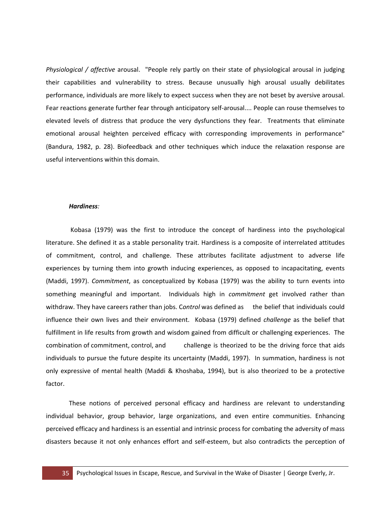*Physiological / affective* arousal. "People rely partly on their state of physiological arousal in judging their capabilities and vulnerability to stress. Because unusually high arousal usually debilitates performance, individuals are more likely to expect success when they are not beset by aversive arousal. Fear reactions generate further fear through anticipatory self‐arousal.... People can rouse themselves to elevated levels of distress that produce the very dysfunctions they fear. Treatments that eliminate emotional arousal heighten perceived efficacy with corresponding improvements in performance" (Bandura, 1982, p. 28). Biofeedback and other techniques which induce the relaxation response are useful interventions within this domain.

#### *Hardiness:*

Kobasa (1979) was the first to introduce the concept of hardiness into the psychological literature. She defined it as a stable personality trait. Hardiness is a composite of interrelated attitudes of commitment, control, and challenge. These attributes facilitate adjustment to adverse life experiences by turning them into growth inducing experiences, as opposed to incapacitating, events (Maddi, 1997). *Commitment*, as conceptualized by Kobasa (1979) was the ability to turn events into something meaningful and important. Individuals high in *commitment* get involved rather than withdraw. They have careers rather than jobs. C*ontrol* was defined as the belief that individuals could influence their own lives and their environment. Kobasa (1979) defined *challenge* as the belief that fulfillment in life results from growth and wisdom gained from difficult or challenging experiences. The combination of commitment, control, and challenge is theorized to be the driving force that aids individuals to pursue the future despite its uncertainty (Maddi, 1997). In summation, hardiness is not only expressive of mental health (Maddi & Khoshaba, 1994), but is also theorized to be a protective factor.

These notions of perceived personal efficacy and hardiness are relevant to understanding individual behavior, group behavior, large organizations, and even entire communities. Enhancing perceived efficacy and hardiness is an essential and intrinsic process for combating the adversity of mass disasters because it not only enhances effort and self‐esteem, but also contradicts the perception of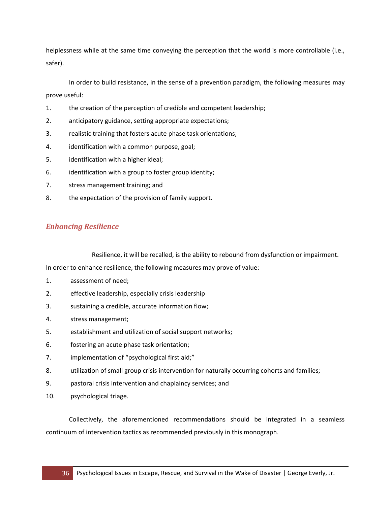helplessness while at the same time conveying the perception that the world is more controllable (i.e., safer).

In order to build resistance, in the sense of a prevention paradigm, the following measures may prove useful:

- 1. the creation of the perception of credible and competent leadership;
- 2. anticipatory guidance, setting appropriate expectations;
- 3. realistic training that fosters acute phase task orientations;
- 4. identification with a common purpose, goal;
- 5. identification with a higher ideal;
- 6. identification with a group to foster group identity;
- 7. stress management training; and
- 8. the expectation of the provision of family support.

## *Enhancing Resilience*

Resilience, it will be recalled, is the ability to rebound from dysfunction or impairment.

In order to enhance resilience, the following measures may prove of value:

- 1. assessment of need;
- 2. effective leadership, especially crisis leadership
- 3. sustaining a credible, accurate information flow;
- 4. stress management;
- 5. establishment and utilization of social support networks;
- 6. fostering an acute phase task orientation;
- 7. implementation of "psychological first aid;"
- 8. utilization of small group crisis intervention for naturally occurring cohorts and families;
- 9. pastoral crisis intervention and chaplaincy services; and
- 10. psychological triage.

Collectively, the aforementioned recommendations should be integrated in a seamless continuum of intervention tactics as recommended previously in this monograph.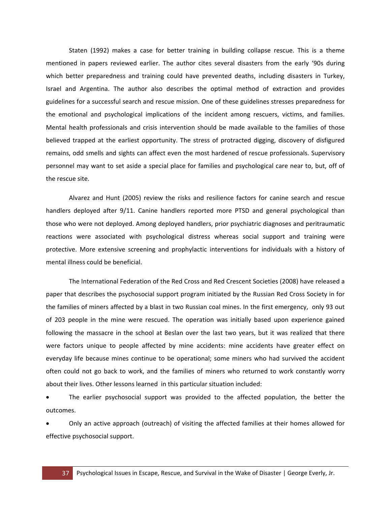Staten (1992) makes a case for better training in building collapse rescue. This is a theme mentioned in papers reviewed earlier. The author cites several disasters from the early '90s during which better preparedness and training could have prevented deaths, including disasters in Turkey, Israel and Argentina. The author also describes the optimal method of extraction and provides guidelines for a successful search and rescue mission. One of these guidelines stresses preparedness for the emotional and psychological implications of the incident among rescuers, victims, and families. Mental health professionals and crisis intervention should be made available to the families of those believed trapped at the earliest opportunity. The stress of protracted digging, discovery of disfigured remains, odd smells and sights can affect even the most hardened of rescue professionals. Supervisory personnel may want to set aside a special place for families and psychological care near to, but, off of the rescue site.

Alvarez and Hunt (2005) review the risks and resilience factors for canine search and rescue handlers deployed after 9/11. Canine handlers reported more PTSD and general psychological than those who were not deployed. Among deployed handlers, prior psychiatric diagnoses and peritraumatic reactions were associated with psychological distress whereas social support and training were protective. More extensive screening and prophylactic interventions for individuals with a history of mental illness could be beneficial.

The International Federation of the Red Cross and Red Crescent Societies (2008) have released a paper that describes the psychosocial support program initiated by the Russian Red Cross Society in for the families of miners affected by a blast in two Russian coal mines. In the first emergency, only 93 out of 203 people in the mine were rescued. The operation was initially based upon experience gained following the massacre in the school at Beslan over the last two years, but it was realized that there were factors unique to people affected by mine accidents: mine accidents have greater effect on everyday life because mines continue to be operational; some miners who had survived the accident often could not go back to work, and the families of miners who returned to work constantly worry about their lives. Other lessons learned in this particular situation included:

 The earlier psychosocial support was provided to the affected population, the better the outcomes.

 Only an active approach (outreach) of visiting the affected families at their homes allowed for effective psychosocial support.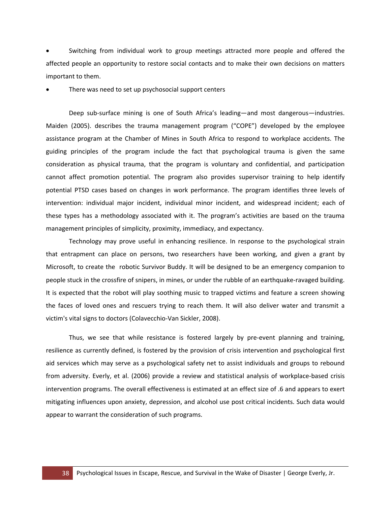Switching from individual work to group meetings attracted more people and offered the affected people an opportunity to restore social contacts and to make their own decisions on matters important to them.

There was need to set up psychosocial support centers

Deep sub-surface mining is one of South Africa's leading—and most dangerous—industries. Maiden (2005). describes the trauma management program ("COPE") developed by the employee assistance program at the Chamber of Mines in South Africa to respond to workplace accidents. The guiding principles of the program include the fact that psychological trauma is given the same consideration as physical trauma, that the program is voluntary and confidential, and participation cannot affect promotion potential. The program also provides supervisor training to help identify potential PTSD cases based on changes in work performance. The program identifies three levels of intervention: individual major incident, individual minor incident, and widespread incident; each of these types has a methodology associated with it. The program's activities are based on the trauma management principles of simplicity, proximity, immediacy, and expectancy.

Technology may prove useful in enhancing resilience. In response to the psychological strain that entrapment can place on persons, two researchers have been working, and given a grant by Microsoft, to create the robotic Survivor Buddy. It will be designed to be an emergency companion to people stuck in the crossfire of snipers, in mines, or under the rubble of an earthquake-ravaged building. It is expected that the robot will play soothing music to trapped victims and feature a screen showing the faces of loved ones and rescuers trying to reach them. It will also deliver water and transmit a victim's vital signs to doctors (Colavecchio‐Van Sickler, 2008).

Thus, we see that while resistance is fostered largely by pre‐event planning and training, resilience as currently defined, is fostered by the provision of crisis intervention and psychological first aid services which may serve as a psychological safety net to assist individuals and groups to rebound from adversity. Everly, et al. (2006) provide a review and statistical analysis of workplace‐based crisis intervention programs. The overall effectiveness is estimated at an effect size of .6 and appears to exert mitigating influences upon anxiety, depression, and alcohol use post critical incidents. Such data would appear to warrant the consideration of such programs.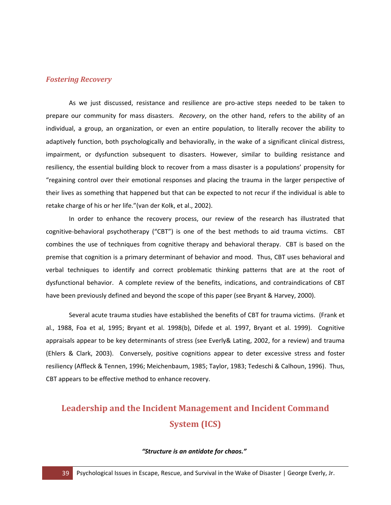### *Fostering Recovery*

As we just discussed, resistance and resilience are pro‐active steps needed to be taken to prepare our community for mass disasters. *Recovery*, on the other hand, refers to the ability of an individual, a group, an organization, or even an entire population, to literally recover the ability to adaptively function, both psychologically and behaviorally, in the wake of a significant clinical distress, impairment, or dysfunction subsequent to disasters. However, similar to building resistance and resiliency, the essential building block to recover from a mass disaster is a populations' propensity for "regaining control over their emotional responses and placing the trauma in the larger perspective of their lives as something that happened but that can be expected to not recur if the individual is able to retake charge of his or her life."(van der Kolk, et al., 2002).

In order to enhance the recovery process, our review of the research has illustrated that cognitive-behavioral psychotherapy ("CBT") is one of the best methods to aid trauma victims. CBT combines the use of techniques from cognitive therapy and behavioral therapy. CBT is based on the premise that cognition is a primary determinant of behavior and mood. Thus, CBT uses behavioral and verbal techniques to identify and correct problematic thinking patterns that are at the root of dysfunctional behavior. A complete review of the benefits, indications, and contraindications of CBT have been previously defined and beyond the scope of this paper (see Bryant & Harvey, 2000).

Several acute trauma studies have established the benefits of CBT for trauma victims. (Frank et al., 1988, Foa et al, 1995; Bryant et al. 1998(b), Difede et al. 1997, Bryant et al. 1999). Cognitive appraisals appear to be key determinants of stress (see Everly& Lating, 2002, for a review) and trauma (Ehlers & Clark, 2003). Conversely, positive cognitions appear to deter excessive stress and foster resiliency (Affleck & Tennen, 1996; Meichenbaum, 1985; Taylor, 1983; Tedeschi & Calhoun, 1996). Thus, CBT appears to be effective method to enhance recovery.

# **Leadership and the Incident Management and Incident Command System (ICS)**

#### *"Structure is an antidote for chaos."*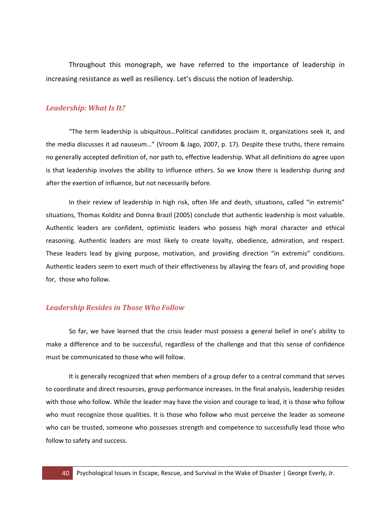Throughout this monograph, we have referred to the importance of leadership in increasing resistance as well as resiliency. Let's discuss the notion of leadership.

## *Leadership: What Is It?*

"The term leadership is ubiquitous…Political candidates proclaim it, organizations seek it, and the media discusses it ad nauseum…" (Vroom & Jago, 2007, p. 17). Despite these truths, there remains no generally accepted definition of, nor path to, effective leadership. What all definitions do agree upon is that leadership involves the ability to influence others. So we know there is leadership during and after the exertion of influence, but not necessarily before.

In their review of leadership in high risk, often life and death, situations, called "in extremis" situations, Thomas Kolditz and Donna Brazil (2005) conclude that authentic leadership is most valuable. Authentic leaders are confident, optimistic leaders who possess high moral character and ethical reasoning. Authentic leaders are most likely to create loyalty, obedience, admiration, and respect. These leaders lead by giving purpose, motivation, and providing direction "in extremis" conditions. Authentic leaders seem to exert much of their effectiveness by allaying the fears of, and providing hope for, those who follow.

#### *Leadership Resides in Those Who Follow*

So far, we have learned that the crisis leader must possess a general belief in one's ability to make a difference and to be successful, regardless of the challenge and that this sense of confidence must be communicated to those who will follow.

It is generally recognized that when members of a group defer to a central command that serves to coordinate and direct resources, group performance increases. In the final analysis, leadership resides with those who follow. While the leader may have the vision and courage to lead, it is those who follow who must recognize those qualities. It is those who follow who must perceive the leader as someone who can be trusted, someone who possesses strength and competence to successfully lead those who follow to safety and success.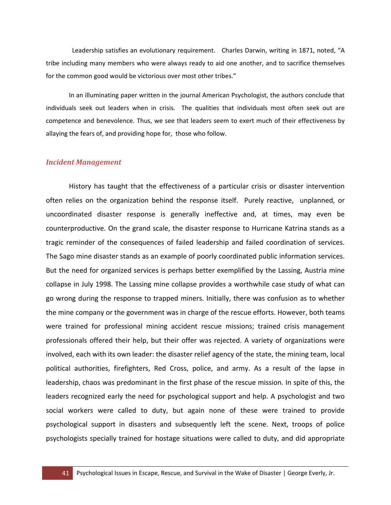Leadership satisfies an evolutionary requirement. Charles Darwin, writing in 1871, noted, "A tribe including many members who were always ready to aid one another, and to sacrifice themselves for the common good would be victorious over most other tribes."

In an illuminating paper written in the journal American Psychologist, the authors conclude that individuals seek out leaders when in crisis. The qualities that individuals most often seek out are competence and benevolence. Thus, we see that leaders seem to exert much of their effectiveness by allaying the fears of, and providing hope for, those who follow.

## *Incident Management*

History has taught that the effectiveness of a particular crisis or disaster intervention often relies on the organization behind the response itself. Purely reactive, unplanned, or uncoordinated disaster response is generally ineffective and, at times, may even be counterproductive. On the grand scale, the disaster response to Hurricane Katrina stands as a tragic reminder of the consequences of failed leadership and failed coordination of services. The Sago mine disaster stands as an example of poorly coordinated public information services. But the need for organized services is perhaps better exemplified by the Lassing, Austria mine collapse in July 1998. The Lassing mine collapse provides a worthwhile case study of what can go wrong during the response to trapped miners. Initially, there was confusion as to whether the mine company or the government was in charge of the rescue efforts. However, both teams were trained for professional mining accident rescue missions; trained crisis management professionals offered their help, but their offer was rejected. A variety of organizations were involved, each with its own leader: the disaster relief agency of the state, the mining team, local political authorities, firefighters, Red Cross, police, and army. As a result of the lapse in leadership, chaos was predominant in the first phase of the rescue mission. In spite of this, the leaders recognized early the need for psychological support and help. A psychologist and two social workers were called to duty, but again none of these were trained to provide psychological support in disasters and subsequently left the scene. Next, troops of police psychologists specially trained for hostage situations were called to duty, and did appropriate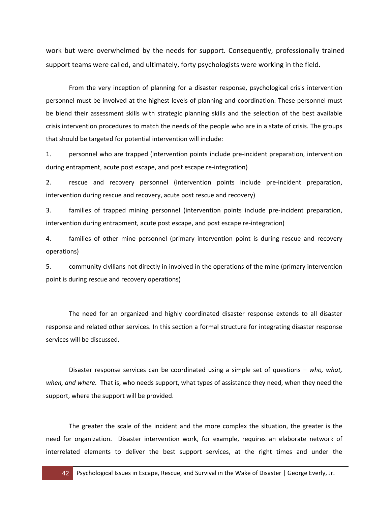work but were overwhelmed by the needs for support. Consequently, professionally trained support teams were called, and ultimately, forty psychologists were working in the field.

From the very inception of planning for a disaster response, psychological crisis intervention personnel must be involved at the highest levels of planning and coordination. These personnel must be blend their assessment skills with strategic planning skills and the selection of the best available crisis intervention procedures to match the needs of the people who are in a state of crisis. The groups that should be targeted for potential intervention will include:

1. personnel who are trapped (intervention points include pre-incident preparation, intervention during entrapment, acute post escape, and post escape re‐integration)

2. rescue and recovery personnel (intervention points include pre-incident preparation, intervention during rescue and recovery, acute post rescue and recovery)

3. families of trapped mining personnel (intervention points include pre-incident preparation, intervention during entrapment, acute post escape, and post escape re-integration)

4. families of other mine personnel (primary intervention point is during rescue and recovery operations)

5. community civilians not directly in involved in the operations of the mine (primary intervention point is during rescue and recovery operations)

The need for an organized and highly coordinated disaster response extends to all disaster response and related other services. In this section a formal structure for integrating disaster response services will be discussed.

Disaster response services can be coordinated using a simple set of questions – *who, what, when, and where.* That is, who needs support, what types of assistance they need, when they need the support, where the support will be provided.

The greater the scale of the incident and the more complex the situation, the greater is the need for organization. Disaster intervention work, for example, requires an elaborate network of interrelated elements to deliver the best support services, at the right times and under the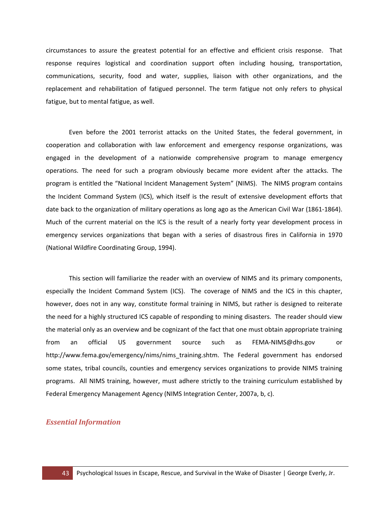circumstances to assure the greatest potential for an effective and efficient crisis response. That response requires logistical and coordination support often including housing, transportation, communications, security, food and water, supplies, liaison with other organizations, and the replacement and rehabilitation of fatigued personnel. The term fatigue not only refers to physical fatigue, but to mental fatigue, as well.

Even before the 2001 terrorist attacks on the United States, the federal government, in cooperation and collaboration with law enforcement and emergency response organizations, was engaged in the development of a nationwide comprehensive program to manage emergency operations. The need for such a program obviously became more evident after the attacks. The program is entitled the "National Incident Management System" (NIMS). The NIMS program contains the Incident Command System (ICS), which itself is the result of extensive development efforts that date back to the organization of military operations as long ago as the American Civil War (1861‐1864). Much of the current material on the ICS is the result of a nearly forty year development process in emergency services organizations that began with a series of disastrous fires in California in 1970 (National Wildfire Coordinating Group, 1994).

This section will familiarize the reader with an overview of NIMS and its primary components, especially the Incident Command System (ICS). The coverage of NIMS and the ICS in this chapter, however, does not in any way, constitute formal training in NIMS, but rather is designed to reiterate the need for a highly structured ICS capable of responding to mining disasters. The reader should view the material only as an overview and be cognizant of the fact that one must obtain appropriate training from an official US government source such as FEMA‐NIMS@dhs.gov or http://www.fema.gov/emergency/nims/nims\_training.shtm. The Federal government has endorsed some states, tribal councils, counties and emergency services organizations to provide NIMS training programs. All NIMS training, however, must adhere strictly to the training curriculum established by Federal Emergency Management Agency (NIMS Integration Center, 2007a, b, c).

#### *Essential Information*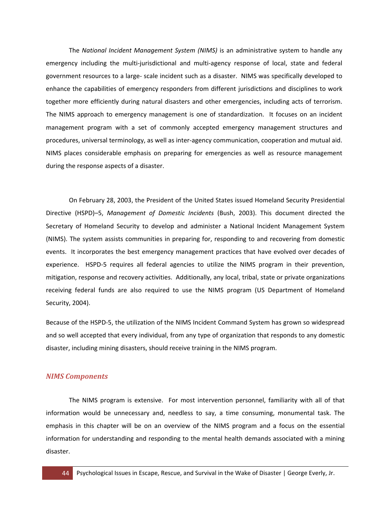The *National Incident Management System (NIMS)* is an administrative system to handle any emergency including the multi-jurisdictional and multi-agency response of local, state and federal government resources to a large‐ scale incident such as a disaster. NIMS was specifically developed to enhance the capabilities of emergency responders from different jurisdictions and disciplines to work together more efficiently during natural disasters and other emergencies, including acts of terrorism. The NIMS approach to emergency management is one of standardization. It focuses on an incident management program with a set of commonly accepted emergency management structures and procedures, universal terminology, as well as inter‐agency communication, cooperation and mutual aid. NIMS places considerable emphasis on preparing for emergencies as well as resource management during the response aspects of a disaster.

On February 28, 2003, the President of the United States issued Homeland Security Presidential Directive (HSPD)–5, *Management of Domestic Incidents* (Bush, 2003). This document directed the Secretary of Homeland Security to develop and administer a National Incident Management System (NIMS). The system assists communities in preparing for, responding to and recovering from domestic events. It incorporates the best emergency management practices that have evolved over decades of experience. HSPD-5 requires all federal agencies to utilize the NIMS program in their prevention, mitigation, response and recovery activities. Additionally, any local, tribal, state or private organizations receiving federal funds are also required to use the NIMS program (US Department of Homeland Security, 2004).

Because of the HSPD‐5, the utilization of the NIMS Incident Command System has grown so widespread and so well accepted that every individual, from any type of organization that responds to any domestic disaster, including mining disasters, should receive training in the NIMS program.

#### *NIMS Components*

The NIMS program is extensive. For most intervention personnel, familiarity with all of that information would be unnecessary and, needless to say, a time consuming, monumental task. The emphasis in this chapter will be on an overview of the NIMS program and a focus on the essential information for understanding and responding to the mental health demands associated with a mining disaster.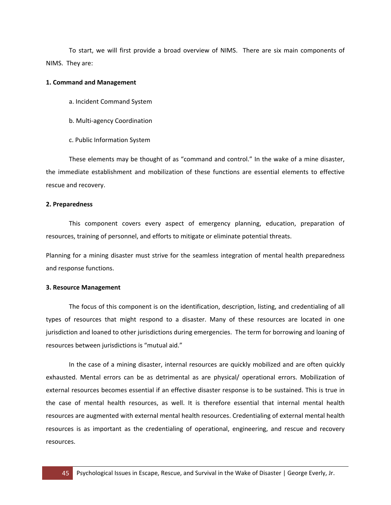To start, we will first provide a broad overview of NIMS. There are six main components of NIMS. They are:

#### **1. Command and Management**

- a. Incident Command System
- b. Multi‐agency Coordination
- c. Public Information System

These elements may be thought of as "command and control." In the wake of a mine disaster, the immediate establishment and mobilization of these functions are essential elements to effective rescue and recovery.

#### **2. Preparedness**

This component covers every aspect of emergency planning, education, preparation of resources, training of personnel, and efforts to mitigate or eliminate potential threats.

Planning for a mining disaster must strive for the seamless integration of mental health preparedness and response functions.

#### **3. Resource Management**

The focus of this component is on the identification, description, listing, and credentialing of all types of resources that might respond to a disaster. Many of these resources are located in one jurisdiction and loaned to other jurisdictions during emergencies. The term for borrowing and loaning of resources between jurisdictions is "mutual aid."

In the case of a mining disaster, internal resources are quickly mobilized and are often quickly exhausted. Mental errors can be as detrimental as are physical/ operational errors. Mobilization of external resources becomes essential if an effective disaster response is to be sustained. This is true in the case of mental health resources, as well. It is therefore essential that internal mental health resources are augmented with external mental health resources. Credentialing of external mental health resources is as important as the credentialing of operational, engineering, and rescue and recovery resources.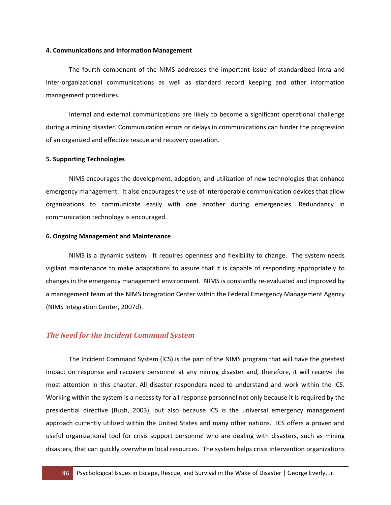#### **4. Communications and Information Management**

The fourth component of the NIMS addresses the important issue of standardized intra and inter-organizational communications as well as standard record keeping and other information management procedures.

Internal and external communications are likely to become a significant operational challenge during a mining disaster. Communication errors or delays in communications can hinder the progression of an organized and effective rescue and recovery operation.

#### **5. Supporting Technologies**

NIMS encourages the development, adoption, and utilization of new technologies that enhance emergency management. It also encourages the use of interoperable communication devices that allow organizations to communicate easily with one another during emergencies. Redundancy in communication technology is encouraged.

#### **6. Ongoing Management and Maintenance**

NIMS is a dynamic system. It requires openness and flexibility to change. The system needs vigilant maintenance to make adaptations to assure that it is capable of responding appropriately to changes in the emergency management environment. NIMS is constantly re‐evaluated and improved by a management team at the NIMS Integration Center within the Federal Emergency Management Agency (NIMS Integration Center, 2007d).

#### *The Need for the Incident Command System*

The Incident Command System (ICS) is the part of the NIMS program that will have the greatest impact on response and recovery personnel at any mining disaster and, therefore, it will receive the most attention in this chapter. All disaster responders need to understand and work within the ICS. Working within the system is a necessity for all response personnel not only because it is required by the presidential directive (Bush, 2003), but also because ICS is the universal emergency management approach currently utilized within the United States and many other nations. ICS offers a proven and useful organizational tool for crisis support personnel who are dealing with disasters, such as mining disasters, that can quickly overwhelm local resources. The system helps crisis intervention organizations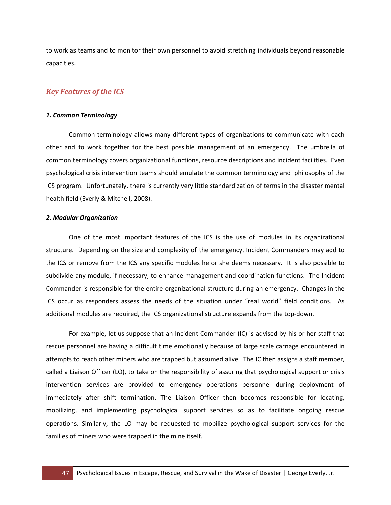to work as teams and to monitor their own personnel to avoid stretching individuals beyond reasonable capacities.

## *Key Features of the ICS*

#### *1. Common Terminology*

Common terminology allows many different types of organizations to communicate with each other and to work together for the best possible management of an emergency. The umbrella of common terminology covers organizational functions, resource descriptions and incident facilities. Even psychological crisis intervention teams should emulate the common terminology and philosophy of the ICS program. Unfortunately, there is currently very little standardization of terms in the disaster mental health field (Everly & Mitchell, 2008).

#### *2. Modular Organization*

One of the most important features of the ICS is the use of modules in its organizational structure. Depending on the size and complexity of the emergency, Incident Commanders may add to the ICS or remove from the ICS any specific modules he or she deems necessary. It is also possible to subdivide any module, if necessary, to enhance management and coordination functions. The Incident Commander is responsible for the entire organizational structure during an emergency. Changes in the ICS occur as responders assess the needs of the situation under "real world" field conditions. As additional modules are required, the ICS organizational structure expands from the top‐down.

For example, let us suppose that an Incident Commander (IC) is advised by his or her staff that rescue personnel are having a difficult time emotionally because of large scale carnage encountered in attempts to reach other miners who are trapped but assumed alive. The IC then assigns a staff member, called a Liaison Officer (LO), to take on the responsibility of assuring that psychological support or crisis intervention services are provided to emergency operations personnel during deployment of immediately after shift termination. The Liaison Officer then becomes responsible for locating, mobilizing, and implementing psychological support services so as to facilitate ongoing rescue operations. Similarly, the LO may be requested to mobilize psychological support services for the families of miners who were trapped in the mine itself.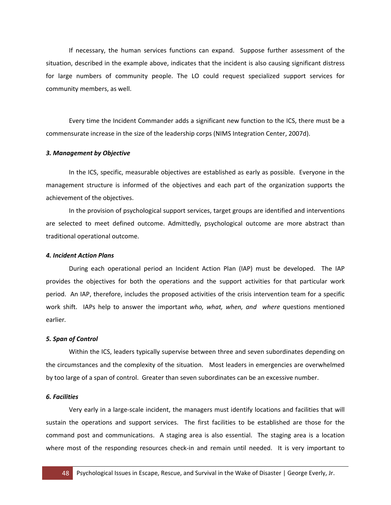If necessary, the human services functions can expand. Suppose further assessment of the situation, described in the example above, indicates that the incident is also causing significant distress for large numbers of community people. The LO could request specialized support services for community members, as well.

Every time the Incident Commander adds a significant new function to the ICS, there must be a commensurate increase in the size of the leadership corps (NIMS Integration Center, 2007d).

#### *3. Management by Objective*

 In the ICS, specific, measurable objectives are established as early as possible. Everyone in the management structure is informed of the objectives and each part of the organization supports the achievement of the objectives.

In the provision of psychological support services, target groups are identified and interventions are selected to meet defined outcome. Admittedly, psychological outcome are more abstract than traditional operational outcome.

#### *4. Incident Action Plans*

During each operational period an Incident Action Plan (IAP) must be developed. The IAP provides the objectives for both the operations and the support activities for that particular work period. An IAP, therefore, includes the proposed activities of the crisis intervention team for a specific work shift. IAPs help to answer the important *who, what, when, and where* questions mentioned earlier*.*

#### *5. Span of Control*

Within the ICS, leaders typically supervise between three and seven subordinates depending on the circumstances and the complexity of the situation. Most leaders in emergencies are overwhelmed by too large of a span of control. Greater than seven subordinates can be an excessive number.

#### *6. Facilities*

Very early in a large‐scale incident, the managers must identify locations and facilities that will sustain the operations and support services. The first facilities to be established are those for the command post and communications. A staging area is also essential. The staging area is a location where most of the responding resources check-in and remain until needed. It is very important to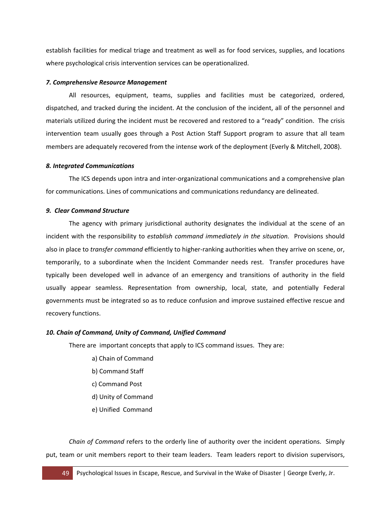establish facilities for medical triage and treatment as well as for food services, supplies, and locations where psychological crisis intervention services can be operationalized.

#### *7. Comprehensive Resource Management*

All resources, equipment, teams, supplies and facilities must be categorized, ordered, dispatched, and tracked during the incident. At the conclusion of the incident, all of the personnel and materials utilized during the incident must be recovered and restored to a "ready" condition. The crisis intervention team usually goes through a Post Action Staff Support program to assure that all team members are adequately recovered from the intense work of the deployment (Everly & Mitchell, 2008).

#### *8. Integrated Communications*

The ICS depends upon intra and inter-organizational communications and a comprehensive plan for communications. Lines of communications and communications redundancy are delineated.

#### *9. Clear Command Structure*

The agency with primary jurisdictional authority designates the individual at the scene of an incident with the responsibility to *establish command immediately in the situation.* Provisions should also in place to *transfer command* efficiently to higher-ranking authorities when they arrive on scene, or, temporarily, to a subordinate when the Incident Commander needs rest. Transfer procedures have typically been developed well in advance of an emergency and transitions of authority in the field usually appear seamless. Representation from ownership, local, state, and potentially Federal governments must be integrated so as to reduce confusion and improve sustained effective rescue and recovery functions.

#### *10. Chain of Command, Unity of Command, Unified Command*

There are important concepts that apply to ICS command issues. They are:

- a) Chain of Command
- b) Command Staff
- c) Command Post
- d) Unity of Command
- e) Unified Command

*Chain of Command* refers to the orderly line of authority over the incident operations. Simply put, team or unit members report to their team leaders. Team leaders report to division supervisors,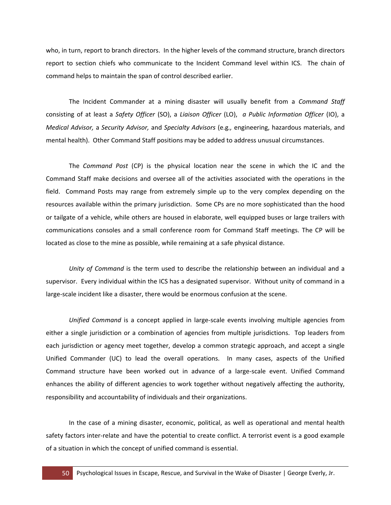who, in turn, report to branch directors. In the higher levels of the command structure, branch directors report to section chiefs who communicate to the Incident Command level within ICS. The chain of command helps to maintain the span of control described earlier.

The Incident Commander at a mining disaster will usually benefit from a *Command Staff* consisting of at least a *Safety Officer* (SO), a *Liaison Officer* (LO), *a Public Information Officer* (IO), a *Medical Advisor,* a *Security Advisor,* and *Specialty Advisors* (e.g*.,* engineering, hazardous materials, and mental health). Other Command Staff positions may be added to address unusual circumstances.

The *Command Post* (CP) is the physical location near the scene in which the IC and the Command Staff make decisions and oversee all of the activities associated with the operations in the field. Command Posts may range from extremely simple up to the very complex depending on the resources available within the primary jurisdiction. Some CPs are no more sophisticated than the hood or tailgate of a vehicle, while others are housed in elaborate, well equipped buses or large trailers with communications consoles and a small conference room for Command Staff meetings. The CP will be located as close to the mine as possible, while remaining at a safe physical distance.

*Unity of Command* is the term used to describe the relationship between an individual and a supervisor. Every individual within the ICS has a designated supervisor. Without unity of command in a large‐scale incident like a disaster, there would be enormous confusion at the scene.

*Unified Command* is a concept applied in large‐scale events involving multiple agencies from either a single jurisdiction or a combination of agencies from multiple jurisdictions. Top leaders from each jurisdiction or agency meet together, develop a common strategic approach, and accept a single Unified Commander (UC) to lead the overall operations. In many cases, aspects of the Unified Command structure have been worked out in advance of a large‐scale event. Unified Command enhances the ability of different agencies to work together without negatively affecting the authority, responsibility and accountability of individuals and their organizations.

In the case of a mining disaster, economic, political, as well as operational and mental health safety factors inter-relate and have the potential to create conflict. A terrorist event is a good example of a situation in which the concept of unified command is essential.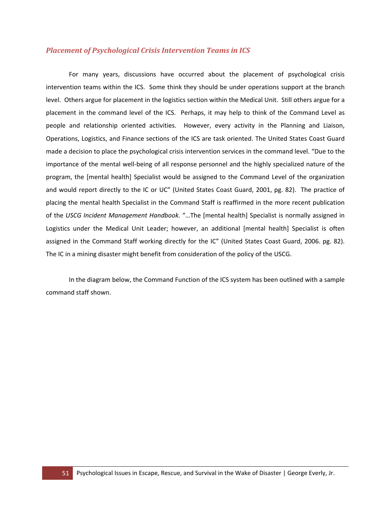## *Placement of Psychological Crisis Intervention Teams in ICS*

For many years, discussions have occurred about the placement of psychological crisis intervention teams within the ICS. Some think they should be under operations support at the branch level. Others argue for placement in the logistics section within the Medical Unit. Still others argue for a placement in the command level of the ICS. Perhaps, it may help to think of the Command Level as people and relationship oriented activities. However, every activity in the Planning and Liaison, Operations, Logistics, and Finance sections of the ICS are task oriented. The United States Coast Guard made a decision to place the psychological crisis intervention services in the command level. "Due to the importance of the mental well‐being of all response personnel and the highly specialized nature of the program, the [mental health] Specialist would be assigned to the Command Level of the organization and would report directly to the IC or UC" (United States Coast Guard, 2001, pg. 82). The practice of placing the mental health Specialist in the Command Staff is reaffirmed in the more recent publication of the *USCG Incident Management Handbook.* "…The [mental health] Specialist is normally assigned in Logistics under the Medical Unit Leader; however, an additional [mental health] Specialist is often assigned in the Command Staff working directly for the IC" (United States Coast Guard, 2006. pg. 82). The IC in a mining disaster might benefit from consideration of the policy of the USCG.

In the diagram below, the Command Function of the ICS system has been outlined with a sample command staff shown.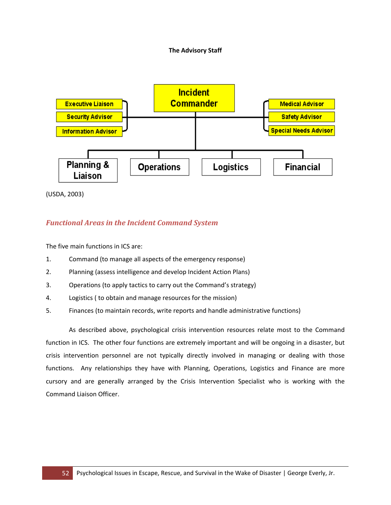## **The Advisory Staff**



(USDA, 2003)

## *Functional Areas in the Incident Command System*

The five main functions in ICS are:

- 1. Command (to manage all aspects of the emergency response)
- 2. Planning (assess intelligence and develop Incident Action Plans)
- 3. Operations (to apply tactics to carry out the Command's strategy)
- 4. Logistics ( to obtain and manage resources for the mission)
- 5. Finances (to maintain records, write reports and handle administrative functions)

As described above, psychological crisis intervention resources relate most to the Command function in ICS. The other four functions are extremely important and will be ongoing in a disaster, but crisis intervention personnel are not typically directly involved in managing or dealing with those functions. Any relationships they have with Planning, Operations, Logistics and Finance are more cursory and are generally arranged by the Crisis Intervention Specialist who is working with the Command Liaison Officer.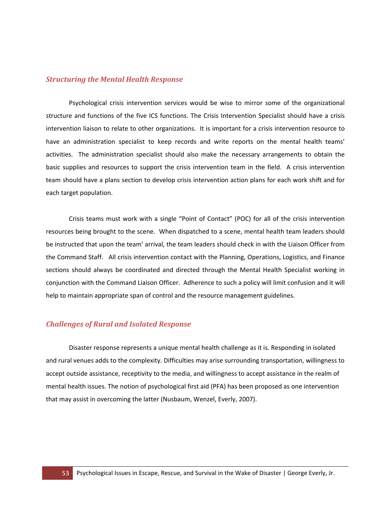#### *Structuring the Mental Health Response*

Psychological crisis intervention services would be wise to mirror some of the organizational structure and functions of the five ICS functions. The Crisis Intervention Specialist should have a crisis intervention liaison to relate to other organizations. It is important for a crisis intervention resource to have an administration specialist to keep records and write reports on the mental health teams' activities. The administration specialist should also make the necessary arrangements to obtain the basic supplies and resources to support the crisis intervention team in the field. A crisis intervention team should have a plans section to develop crisis intervention action plans for each work shift and for each target population.

Crisis teams must work with a single "Point of Contact" (POC) for all of the crisis intervention resources being brought to the scene. When dispatched to a scene, mental health team leaders should be instructed that upon the team' arrival, the team leaders should check in with the Liaison Officer from the Command Staff. All crisis intervention contact with the Planning, Operations, Logistics, and Finance sections should always be coordinated and directed through the Mental Health Specialist working in conjunction with the Command Liaison Officer. Adherence to such a policy will limit confusion and it will help to maintain appropriate span of control and the resource management guidelines.

## *Challenges of Rural and Isolated Response*

Disaster response represents a unique mental health challenge as it is. Responding in isolated and rural venues adds to the complexity. Difficulties may arise surrounding transportation, willingness to accept outside assistance, receptivity to the media, and willingness to accept assistance in the realm of mental health issues. The notion of psychological first aid (PFA) has been proposed as one intervention that may assist in overcoming the latter (Nusbaum, Wenzel, Everly, 2007).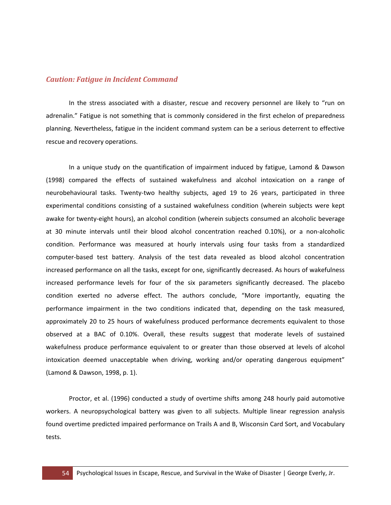#### *Caution: Fatigue in Incident Command*

In the stress associated with a disaster, rescue and recovery personnel are likely to "run on adrenalin." Fatigue is not something that is commonly considered in the first echelon of preparedness planning. Nevertheless, fatigue in the incident command system can be a serious deterrent to effective rescue and recovery operations.

In a unique study on the quantification of impairment induced by fatigue, Lamond & Dawson (1998) compared the effects of sustained wakefulness and alcohol intoxication on a range of neurobehavioural tasks. Twenty-two healthy subjects, aged 19 to 26 years, participated in three experimental conditions consisting of a sustained wakefulness condition (wherein subjects were kept awake for twenty‐eight hours), an alcohol condition (wherein subjects consumed an alcoholic beverage at 30 minute intervals until their blood alcohol concentration reached 0.10%), or a non‐alcoholic condition. Performance was measured at hourly intervals using four tasks from a standardized computer‐based test battery. Analysis of the test data revealed as blood alcohol concentration increased performance on all the tasks, except for one, significantly decreased. As hours of wakefulness increased performance levels for four of the six parameters significantly decreased. The placebo condition exerted no adverse effect. The authors conclude, "More importantly, equating the performance impairment in the two conditions indicated that, depending on the task measured, approximately 20 to 25 hours of wakefulness produced performance decrements equivalent to those observed at a BAC of 0.10%. Overall, these results suggest that moderate levels of sustained wakefulness produce performance equivalent to or greater than those observed at levels of alcohol intoxication deemed unacceptable when driving, working and/or operating dangerous equipment" (Lamond & Dawson, 1998, p. 1).

Proctor, et al. (1996) conducted a study of overtime shifts among 248 hourly paid automotive workers. A neuropsychological battery was given to all subjects. Multiple linear regression analysis found overtime predicted impaired performance on Trails A and B, Wisconsin Card Sort, and Vocabulary tests.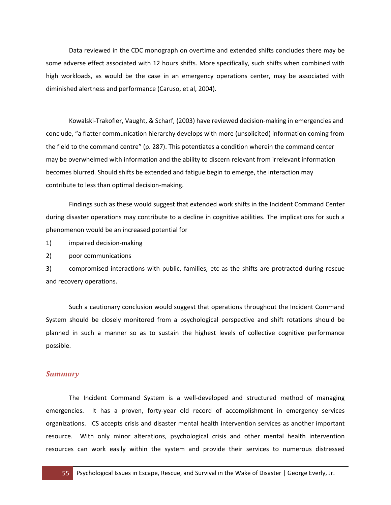Data reviewed in the CDC monograph on overtime and extended shifts concludes there may be some adverse effect associated with 12 hours shifts. More specifically, such shifts when combined with high workloads, as would be the case in an emergency operations center, may be associated with diminished alertness and performance (Caruso, et al, 2004).

Kowalski‐Trakofler, Vaught, & Scharf, (2003) have reviewed decision‐making in emergencies and conclude, "a flatter communication hierarchy develops with more (unsolicited) information coming from the field to the command centre" (p. 287). This potentiates a condition wherein the command center may be overwhelmed with information and the ability to discern relevant from irrelevant information becomes blurred. Should shifts be extended and fatigue begin to emerge, the interaction may contribute to less than optimal decision‐making.

Findings such as these would suggest that extended work shifts in the Incident Command Center during disaster operations may contribute to a decline in cognitive abilities. The implications for such a phenomenon would be an increased potential for

1) impaired decision‐making

2) poor communications

3) compromised interactions with public, families, etc as the shifts are protracted during rescue and recovery operations.

Such a cautionary conclusion would suggest that operations throughout the Incident Command System should be closely monitored from a psychological perspective and shift rotations should be planned in such a manner so as to sustain the highest levels of collective cognitive performance possible.

#### *Summary*

The Incident Command System is a well‐developed and structured method of managing emergencies. It has a proven, forty-year old record of accomplishment in emergency services organizations. ICS accepts crisis and disaster mental health intervention services as another important resource. With only minor alterations, psychological crisis and other mental health intervention resources can work easily within the system and provide their services to numerous distressed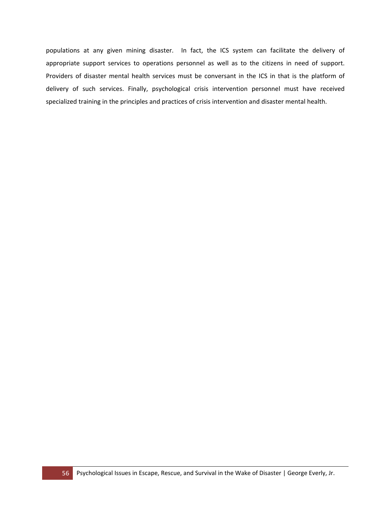populations at any given mining disaster. In fact, the ICS system can facilitate the delivery of appropriate support services to operations personnel as well as to the citizens in need of support. Providers of disaster mental health services must be conversant in the ICS in that is the platform of delivery of such services. Finally, psychological crisis intervention personnel must have received specialized training in the principles and practices of crisis intervention and disaster mental health.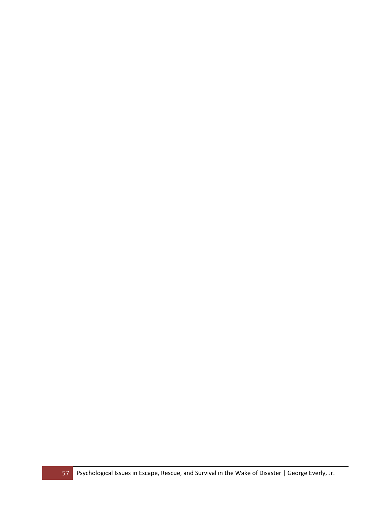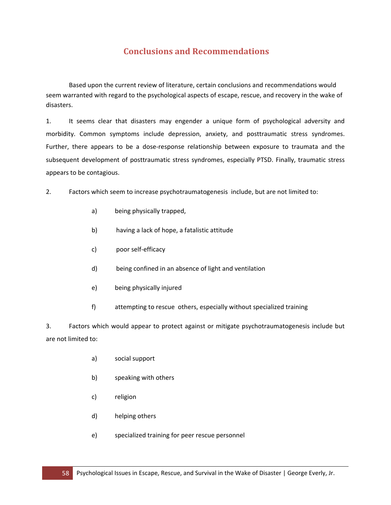## **Conclusions and Recommendations**

Based upon the current review of literature, certain conclusions and recommendations would seem warranted with regard to the psychological aspects of escape, rescue, and recovery in the wake of disasters.

1. It seems clear that disasters may engender a unique form of psychological adversity and morbidity. Common symptoms include depression, anxiety, and posttraumatic stress syndromes. Further, there appears to be a dose‐response relationship between exposure to traumata and the subsequent development of posttraumatic stress syndromes, especially PTSD. Finally, traumatic stress appears to be contagious.

- 2. Factors which seem to increase psychotraumatogenesis include, but are not limited to:
	- a) being physically trapped,
	- b) having a lack of hope, a fatalistic attitude
	- c) poor self-efficacy
	- d) being confined in an absence of light and ventilation
	- e) being physically injured
	- f) attempting to rescue others, especially without specialized training

3. Factors which would appear to protect against or mitigate psychotraumatogenesis include but are not limited to:

- a) social support
- b) speaking with others
- c) religion
- d) helping others
- e) specialized training for peer rescue personnel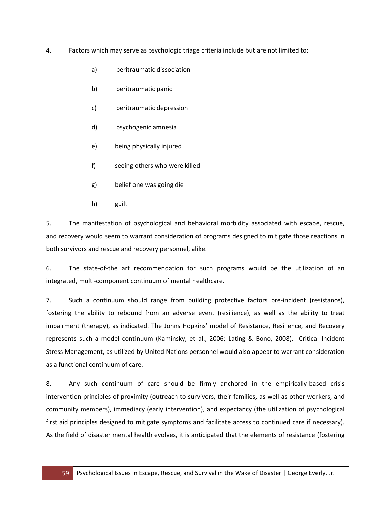- 4. Factors which may serve as psychologic triage criteria include but are not limited to:
	- a) peritraumatic dissociation
	- b) peritraumatic panic
	- c) peritraumatic depression
	- d) psychogenic amnesia
	- e) being physically injured
	- f) seeing others who were killed
	- g) belief one was going die
	- h) guilt

5. The manifestation of psychological and behavioral morbidity associated with escape, rescue, and recovery would seem to warrant consideration of programs designed to mitigate those reactions in both survivors and rescue and recovery personnel, alike.

6. The state‐of‐the art recommendation for such programs would be the utilization of an integrated, multi-component continuum of mental healthcare.

7. Such a continuum should range from building protective factors pre-incident (resistance), fostering the ability to rebound from an adverse event (resilience), as well as the ability to treat impairment (therapy), as indicated. The Johns Hopkins' model of Resistance, Resilience, and Recovery represents such a model continuum (Kaminsky, et al., 2006; Lating & Bono, 2008). Critical Incident Stress Management, as utilized by United Nations personnel would also appear to warrant consideration as a functional continuum of care.

8. Any such continuum of care should be firmly anchored in the empirically-based crisis intervention principles of proximity (outreach to survivors, their families, as well as other workers, and community members), immediacy (early intervention), and expectancy (the utilization of psychological first aid principles designed to mitigate symptoms and facilitate access to continued care if necessary). As the field of disaster mental health evolves, it is anticipated that the elements of resistance (fostering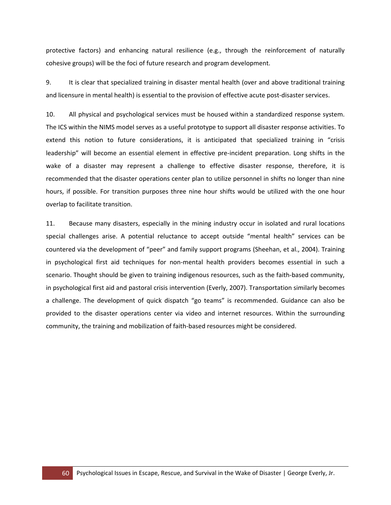protective factors) and enhancing natural resilience (e.g., through the reinforcement of naturally cohesive groups) will be the foci of future research and program development.

9. It is clear that specialized training in disaster mental health (over and above traditional training and licensure in mental health) is essential to the provision of effective acute post-disaster services.

10. All physical and psychological services must be housed within a standardized response system. The ICS within the NIMS model serves as a useful prototype to support all disaster response activities. To extend this notion to future considerations, it is anticipated that specialized training in "crisis leadership" will become an essential element in effective pre‐incident preparation. Long shifts in the wake of a disaster may represent a challenge to effective disaster response, therefore, it is recommended that the disaster operations center plan to utilize personnel in shifts no longer than nine hours, if possible. For transition purposes three nine hour shifts would be utilized with the one hour overlap to facilitate transition.

11. Because many disasters, especially in the mining industry occur in isolated and rural locations special challenges arise. A potential reluctance to accept outside "mental health" services can be countered via the development of "peer" and family support programs (Sheehan, et al., 2004). Training in psychological first aid techniques for non‐mental health providers becomes essential in such a scenario. Thought should be given to training indigenous resources, such as the faith-based community, in psychological first aid and pastoral crisis intervention (Everly, 2007). Transportation similarly becomes a challenge. The development of quick dispatch "go teams" is recommended. Guidance can also be provided to the disaster operations center via video and internet resources. Within the surrounding community, the training and mobilization of faith‐based resources might be considered.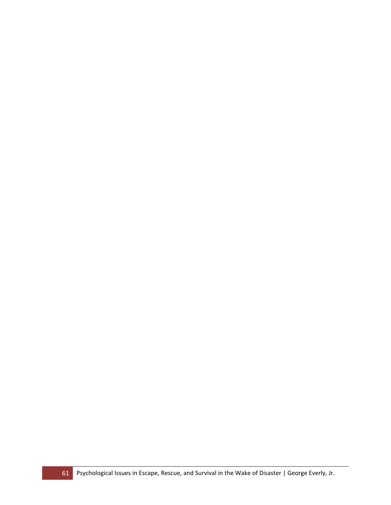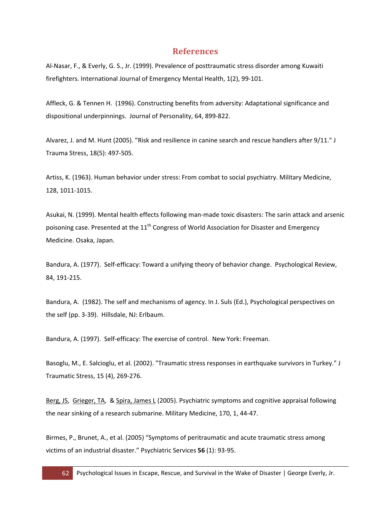## **References**

Al-Nasar, F., & Everly, G. S., Jr. (1999). Prevalence of posttraumatic stress disorder among Kuwaiti firefighters. International Journal of Emergency Mental Health, 1(2), 99‐101.

Affleck, G. & Tennen H. (1996). Constructing benefits from adversity: Adaptational significance and dispositional underpinnings. Journal of Personality, 64, 899‐822.

Alvarez, J. and M. Hunt (2005). "Risk and resilience in canine search and rescue handlers after 9/11." J Trauma Stress, 18(5): 497‐505.

Artiss, K. (1963). Human behavior under stress: From combat to social psychiatry. Military Medicine, 128, 1011‐1015.

Asukai, N. (1999). Mental health effects following man‐made toxic disasters: The sarin attack and arsenic poisoning case. Presented at the  $11<sup>th</sup>$  Congress of World Association for Disaster and Emergency Medicine. Osaka, Japan.

Bandura, A. (1977). Self-efficacy: Toward a unifying theory of behavior change. Psychological Review, 84, 191‐215.

Bandura, A. (1982). The self and mechanisms of agency. In J. Suls (Ed.), Psychological perspectives on the self (pp. 3‐39). Hillsdale, NJ: Erlbaum.

Bandura, A. (1997). Self‐efficacy: The exercise of control. New York: Freeman.

Basoglu, M., E. Salcioglu, et al. (2002). "Traumatic stress responses in earthquake survivors in Turkey." J Traumatic Stress, 15 (4), 269‐276.

Berg, JS, Grieger, TA, & Spira, James L (2005). Psychiatric symptoms and cognitive appraisal following the near sinking of a research submarine. Military Medicine, 170, 1, 44‐47.

Birmes, P., Brunet, A., et al. (2005) "Symptoms of peritraumatic and acute traumatic stress among victims of an industrial disaster." Psychiatric Services **56** (1): 93‐95.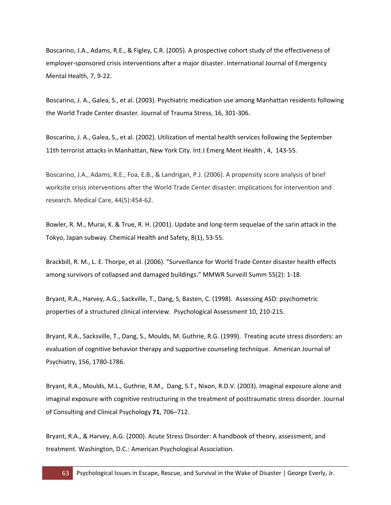Boscarino, J.A., Adams, R.E., & Figley, C.R. (2005). A prospective cohort study of the effectiveness of employer‐sponsored crisis interventions after a major disaster. International Journal of Emergency Mental Health, 7, 9‐22.

Boscarino, J. A., Galea, S., et al. (2003). Psychiatric medication use among Manhattan residents following the World Trade Center disaster. Journal of Trauma Stress, 16, 301‐306.

Boscarino, J. A., Galea, S., et al. (2002). Utilization of mental health services following the September 11th terrorist attacks in Manhattan, New York City. Int J Emerg Ment Health , 4, 143‐55.

Boscarino, J.A., Adams, R.E., Foa, E.B., & Landrigan, P.J. (2006). A propensity score analysis of brief worksite crisis interventions after the World Trade Center disaster: implications for intervention and research. Medical Care, 44(5):454‐62.

Bowler, R. M., Murai, K. & True, R. H. (2001). Update and long‐term sequelae of the sarin attack in the Tokyo, Japan subway. Chemical Health and Safety, 8(1), 53‐55.

Brackbill, R. M., L. E. Thorpe, et al. (2006). "Surveillance for World Trade Center disaster health effects among survivors of collapsed and damaged buildings." MMWR Surveill Summ 55(2): 1‐18.

Bryant, R.A., Harvey, A.G., Sackville, T., Dang, S, Basten, C. (1998). Assessing ASD: psychometric properties of a structured clinical interview. Psychological Assessment 10, 210‐215.

Bryant, R.A., Sacksville, T., Dang, S., Moulds, M. Guthrie, R.G. (1999). Treating acute stress disorders: an evaluation of cognitive behavior therapy and supportive counseling technique. American Journal of Psychiatry, 156, 1780‐1786.

Bryant, R.A., Moulds, M.L., Guthrie, R.M., Dang, S.T., Nixon, R.D.V. (2003). Imaginal exposure alone and imaginal exposure with cognitive restructuring in the treatment of posttraumatic stress disorder. Journal of Consulting and Clinical Psychology **71**, 706–712.

Bryant, R.A., & Harvey, A.G. (2000). Acute Stress Disorder: A handbook of theory, assessment, and treatment. Washington, D.C.: American Psychological Association.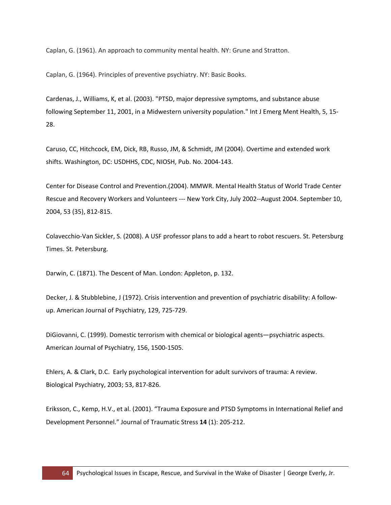Caplan, G. (1961). An approach to community mental health. NY: Grune and Stratton.

Caplan, G. (1964). Principles of preventive psychiatry. NY: Basic Books.

Cardenas, J., Williams, K, et al. (2003). "PTSD, major depressive symptoms, and substance abuse following September 11, 2001, in a Midwestern university population." Int J Emerg Ment Health, 5, 15‐ 28.

Caruso, CC, Hitchcock, EM, Dick, RB, Russo, JM, & Schmidt, JM (2004). Overtime and extended work shifts. Washington, DC: USDHHS, CDC, NIOSH, Pub. No. 2004‐143.

Center for Disease Control and Prevention.(2004). MMWR. Mental Health Status of World Trade Center Rescue and Recovery Workers and Volunteers --- New York City, July 2002--August 2004. September 10, 2004, 53 (35), 812‐815.

Colavecchio‐Van Sickler, S. (2008). A USF professor plans to add a heart to robot rescuers. St. Petersburg Times. St. Petersburg.

Darwin, C. (1871). The Descent of Man. London: Appleton, p. 132.

Decker, J. & Stubblebine, J (1972). Crisis intervention and prevention of psychiatric disability: A followup. American Journal of Psychiatry, 129, 725‐729.

DiGiovanni, C. (1999). Domestic terrorism with chemical or biological agents—psychiatric aspects. American Journal of Psychiatry, 156, 1500‐1505.

Ehlers, A. & Clark, D.C. Early psychological intervention for adult survivors of trauma: A review. Biological Psychiatry, 2003; 53, 817‐826.

Eriksson, C., Kemp, H.V., et al. (2001). "Trauma Exposure and PTSD Symptoms in International Relief and Development Personnel." Journal of Traumatic Stress **14** (1): 205‐212.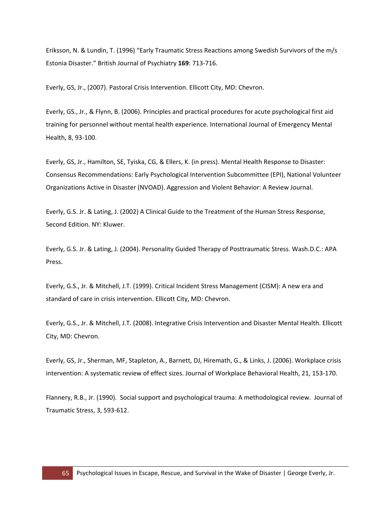Eriksson, N. & Lundin, T. (1996) "Early Traumatic Stress Reactions among Swedish Survivors of the m/s Estonia Disaster." British Journal of Psychiatry **169**: 713‐716.

Everly, GS, Jr., (2007). Pastoral Crisis Intervention. Ellicott City, MD: Chevron.

Everly, GS., Jr., & Flynn, B. (2006). Principles and practical procedures for acute psychological first aid training for personnel without mental health experience. International Journal of Emergency Mental Health, 8, 93‐100.

Everly, GS, Jr., Hamilton, SE, Tyiska, CG, & Ellers, K. (in press). Mental Health Response to Disaster: Consensus Recommendations: Early Psychological Intervention Subcommittee (EPI), National Volunteer Organizations Active in Disaster (NVOAD). Aggression and Violent Behavior: A Review Journal.

Everly, G.S. Jr. & Lating, J. (2002) A Clinical Guide to the Treatment of the Human Stress Response, Second Edition. NY: Kluwer.

Everly, G.S. Jr. & Lating, J. (2004). Personality Guided Therapy of Posttraumatic Stress. Wash.D.C.: APA Press.

Everly, G.S., Jr. & Mitchell, J.T. (1999). Critical Incident Stress Management (CISM): A new era and standard of care in crisis intervention. Ellicott City, MD: Chevron.

Everly, G.S., Jr. & Mitchell, J.T. (2008). Integrative Crisis Intervention and Disaster Mental Health. Ellicott City, MD: Chevron.

Everly, GS, Jr., Sherman, MF, Stapleton, A., Barnett, DJ, Hiremath, G., & Links, J. (2006). Workplace crisis intervention: A systematic review of effect sizes. Journal of Workplace Behavioral Health, 21, 153‐170.

Flannery, R.B., Jr. (1990). Social support and psychological trauma: A methodological review. Journal of Traumatic Stress, 3, 593‐612.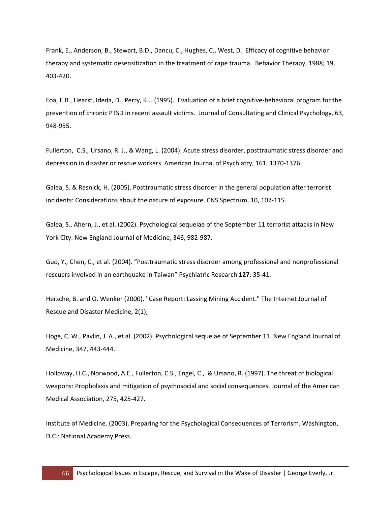Frank, E., Anderson, B., Stewart, B.D., Dancu, C., Hughes, C., West, D. Efficacy of cognitive behavior therapy and systematic desensitization in the treatment of rape trauma. Behavior Therapy, 1988; 19, 403‐420.

Foa, E.B., Hearst, Ideda, D., Perry, K.J. (1995). Evaluation of a brief cognitive‐behavioral program for the prevention of chronic PTSD in recent assault victims. Journal of Consultating and Clinical Psychology, 63, 948‐955.

Fullerton, C.S., Ursano, R. J., & Wang, L. (2004). Acute stress disorder, posttraumatic stress disorder and depression in disaster or rescue workers. American Journal of Psychiatry, 161, 1370‐1376.

Galea, S. & Resnick, H. (2005). Posttraumatic stress disorder in the general population after terrorist incidents: Considerations about the nature of exposure. CNS Spectrum, 10, 107‐115.

Galea, S., Ahern, J., et al. (2002). Psychological sequelae of the September 11 terrorist attacks in New York City. New England Journal of Medicine, 346, 982‐987.

Guo, Y., Chen, C., et al. (2004). "Posttraumatic stress disorder among professional and nonprofessional rescuers involved in an earthquake in Taiwan" Psychiatric Research **127**: 35‐41.

Hersche, B. and O. Wenker (2000). "Case Report: Lassing Mining Accident." The Internet Journal of Rescue and Disaster Medicine, 2(1),

Hoge, C. W., Pavlin, J. A., et al. (2002). Psychological sequelae of September 11. New England Journal of Medicine, 347, 443‐444.

Holloway, H.C., Norwood, A.E., Fullerton, C.S., Engel, C., & Ursano, R. (1997). The threat of biological weapons: Propholaxis and mitigation of psychosocial and social consequences. Journal of the American Medical Association, 275, 425‐427.

Institute of Medicine. (2003). Preparing for the Psychological Consequences of Terrorism. Washington, D.C.: National Academy Press.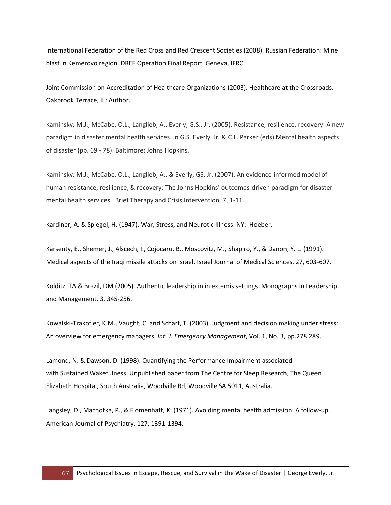International Federation of the Red Cross and Red Crescent Societies (2008). Russian Federation: Mine blast in Kemerovo region. DREF Operation Final Report. Geneva, IFRC.

Joint Commission on Accreditation of Healthcare Organizations (2003). Healthcare at the Crossroads. Oakbrook Terrace, IL: Author.

Kaminsky, M.J., McCabe, O.L., Langlieb, A., Everly, G.S., Jr. (2005). Resistance, resilience, recovery: A new paradigm in disaster mental health services. In G.S. Everly, Jr. & C.L. Parker (eds) Mental health aspects of disaster (pp. 69 ‐ 78). Baltimore: Johns Hopkins.

Kaminsky, M.J., McCabe, O.L., Langlieb, A., & Everly, GS, Jr. (2007). An evidence‐informed model of human resistance, resilience, & recovery: The Johns Hopkins' outcomes‐driven paradigm for disaster mental health services. Brief Therapy and Crisis Intervention, 7, 1‐11.

Kardiner, A. & Spiegel, H. (1947). War, Stress, and Neurotic Illness. NY: Hoeber.

Karsenty, E., Shemer, J., Alscech, I., Cojocaru, B., Moscovitz, M., Shapiro, Y., & Danon, Y. L. (1991). Medical aspects of the Iraqi missile attacks on Israel. Israel Journal of Medical Sciences, 27, 603‐607.

Kolditz, TA & Brazil, DM (2005). Authentic leadership in in extemis settings. Monographs in Leadership and Management, 3, 345‐256.

Kowalski‐Trakofler, K.M., Vaught, C. and Scharf, T. (2003) .Judgment and decision making under stress: An overview for emergency managers. *Int. J. Emergency Management*, Vol. 1, No. 3, pp.278.289.

Lamond, N. & Dawson, D. (1998). Quantifying the Performance Impairment associated with Sustained Wakefulness. Unpublished paper from The Centre for Sleep Research, The Queen Elizabeth Hospital, South Australia, Woodville Rd, Woodville SA 5011, Australia.

Langsley, D., Machotka, P., & Flomenhaft, K. (1971). Avoiding mental health admission: A follow‐up. American Journal of Psychiatry, 127, 1391‐1394.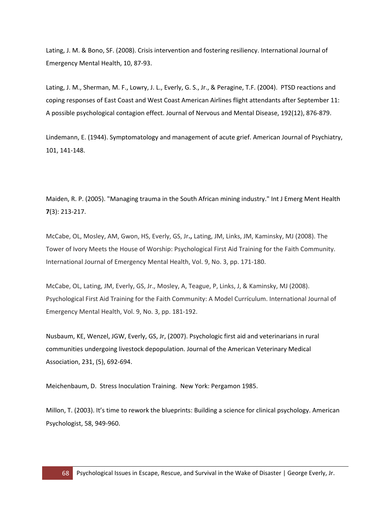Lating, J. M. & Bono, SF. (2008). Crisis intervention and fostering resiliency. International Journal of Emergency Mental Health, 10, 87‐93.

Lating, J. M., Sherman, M. F., Lowry, J. L., Everly, G. S., Jr., & Peragine, T.F. (2004). PTSD reactions and coping responses of East Coast and West Coast American Airlines flight attendants after September 11: A possible psychological contagion effect. Journal of Nervous and Mental Disease, 192(12), 876‐879.

Lindemann, E. (1944). Symptomatology and management of acute grief. American Journal of Psychiatry, 101, 141‐148.

Maiden, R. P. (2005). "Managing trauma in the South African mining industry." Int J Emerg Ment Health **7**(3): 213‐217.

McCabe, OL, Mosley, AM, Gwon, HS, Everly, GS, Jr**.,** Lating, JM, Links, JM, Kaminsky, MJ (2008). The Tower of Ivory Meets the House of Worship: Psychological First Aid Training for the Faith Community. International Journal of Emergency Mental Health, Vol. 9, No. 3, pp. 171‐180.

McCabe, OL, Lating, JM, Everly, GS, Jr., Mosley, A, Teague, P, Links, J, & Kaminsky, MJ (2008). Psychological First Aid Training for the Faith Community: A Model Currículum. International Journal of Emergency Mental Health, Vol. 9, No. 3, pp. 181‐192.

Nusbaum, KE, Wenzel, JGW, Everly, GS, Jr, (2007). Psychologic first aid and veterinarians in rural communities undergoing livestock depopulation. Journal of the American Veterinary Medical Association, 231, (5), 692‐694.

Meichenbaum, D. Stress Inoculation Training. New York: Pergamon 1985.

Millon, T. (2003). It's time to rework the blueprints: Building a science for clinical psychology. American Psychologist, 58, 949‐960.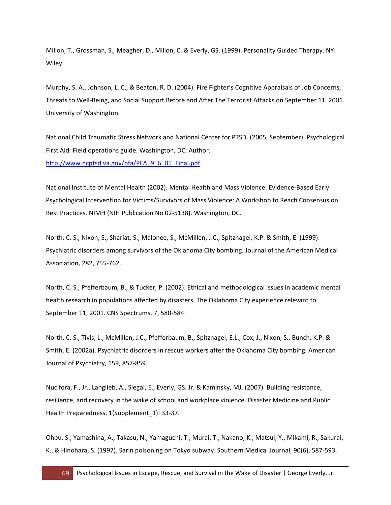Millon, T., Grossman, S., Meagher, D., Millon, C. & Everly, GS. (1999). Personality Guided Therapy. NY: Wiley.

Murphy, S. A., Johnson, L. C., & Beaton, R. D. (2004). Fire Fighter's Cognitive Appraisals of Job Concerns, Threats to Well‐Being, and Social Support Before and After The Terrorist Attacks on September 11, 2001. University of Washington.

National Child Traumatic Stress Network and National Center for PTSD. (2005, September). Psychological First Aid: Field operations guide. Washington, DC: Author. http://www.ncptsd.va.gov/pfa/PFA\_9\_6\_05\_Final.pdf

National Institute of Mental Health (2002). Mental Health and Mass Violence: Evidence‐Based Early Psychological Intervention for Victims/Survivors of Mass Violence: A Workshop to Reach Consensus on Best Practices. NIMH (NIH Publication No 02‐5138). Washington, DC.

North, C. S., Nixon, S., Shariat, S., Malonee, S., McMillen, J.C., Spitznagel, K.P. & Smith, E. (1999). Psychiatric disorders among survivors of the Oklahoma City bombing. Journal of the American Medical Association, 282, 755‐762.

North, C. S., Pfefferbaum, B., & Tucker, P. (2002). Ethical and methodological issues in academic mental health research in populations affected by disasters. The Oklahoma City experience relevant to September 11, 2001. CNS Spectrums, 7, 580‐584.

North, C. S., Tivis, L., McMillen, J.C., Pfefferbaum, B., Spitznagel, E.L., Cox, J., Nixon, S., Bunch, K.P. & Smith, E. (2002a). Psychiatric disorders in rescue workers after the Oklahoma City bombing. American Journal of Psychiatry, 159, 857‐859.

Nucifora, F., Jr., Langlieb, A., Siegal, E., Everly, GS. Jr. & Kaminsky, MJ. (2007). Building resistance, resilience, and recovery in the wake of school and workplace violence. Disaster Medicine and Public Health Preparedness, 1(Supplement\_1): 33‐37.

Ohbu, S., Yamashina, A., Takasu, N., Yamaguchi, T., Murai, T., Nakano, K., Matsui, Y., Mikami, R., Sakurai, K., & Hinohara, S. (1997). Sarin poisoning on Tokyo subway. Southern Medical Journal, 90(6), 587‐593.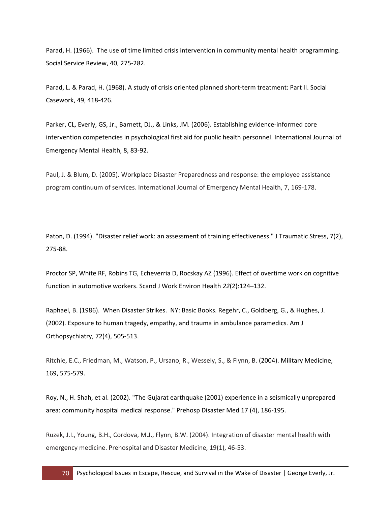Parad, H. (1966). The use of time limited crisis intervention in community mental health programming. Social Service Review, 40, 275‐282.

Parad, L. & Parad, H. (1968). A study of crisis oriented planned short‐term treatment: Part II. Social Casework, 49, 418‐426.

Parker, CL, Everly, GS, Jr., Barnett, DJ., & Links, JM. (2006). Establishing evidence‐informed core intervention competencies in psychological first aid for public health personnel. International Journal of Emergency Mental Health, 8, 83‐92.

Paul, J. & Blum, D. (2005). Workplace Disaster Preparedness and response: the employee assistance program continuum of services. International Journal of Emergency Mental Health, 7, 169‐178.

Paton, D. (1994). "Disaster relief work: an assessment of training effectiveness." J Traumatic Stress, 7(2), 275‐88.

Proctor SP, White RF, Robins TG, Echeverria D, Rocskay AZ (1996). Effect of overtime work on cognitive function in automotive workers. Scand J Work Environ Health *22*(2):124–132.

Raphael, B. (1986). When Disaster Strikes. NY: Basic Books. Regehr, C., Goldberg, G., & Hughes, J. (2002). Exposure to human tragedy, empathy, and trauma in ambulance paramedics. Am J Orthopsychiatry, 72(4), 505‐513.

Ritchie, E.C., Friedman, M., Watson, P., Ursano, R., Wessely, S., & Flynn, B. (2004). Military Medicine, 169, 575‐579.

Roy, N., H. Shah, et al. (2002). "The Gujarat earthquake (2001) experience in a seismically unprepared area: community hospital medical response." Prehosp Disaster Med 17 (4), 186‐195.

Ruzek, J.I., Young, B.H., Cordova, M.J., Flynn, B.W. (2004). Integration of disaster mental health with emergency medicine. Prehospital and Disaster Medicine, 19(1), 46‐53.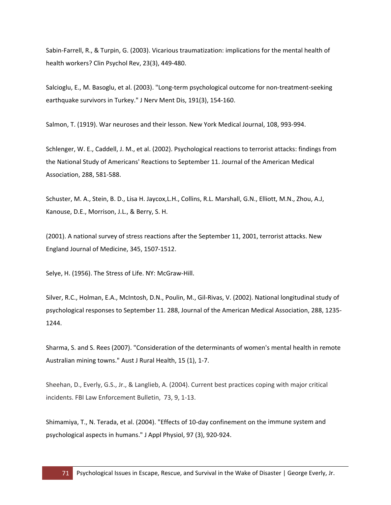Sabin‐Farrell, R., & Turpin, G. (2003). Vicarious traumatization: implications for the mental health of health workers? Clin Psychol Rev, 23(3), 449‐480.

Salcioglu, E., M. Basoglu, et al. (2003). "Long‐term psychological outcome for non‐treatment‐seeking earthquake survivors in Turkey." J Nerv Ment Dis, 191(3), 154‐160.

Salmon, T. (1919). War neuroses and their lesson. New York Medical Journal, 108, 993‐994.

Schlenger, W. E., Caddell, J. M., et al. (2002). Psychological reactions to terrorist attacks: findings from the National Study of Americans' Reactions to September 11. Journal of the American Medical Association, 288, 581‐588.

Schuster, M. A., Stein, B. D., Lisa H. Jaycox,L.H., Collins, R.L. Marshall, G.N., Elliott, M.N., Zhou, A.J, Kanouse, D.E., Morrison, J.L., & Berry, S. H.

(2001). A national survey of stress reactions after the September 11, 2001, terrorist attacks. New England Journal of Medicine, 345, 1507‐1512.

Selye, H. (1956). The Stress of Life. NY: McGraw‐Hill.

Silver, R.C., Holman, E.A., McIntosh, D.N., Poulin, M., Gil‐Rivas, V. (2002). National longitudinal study of psychological responses to September 11. 288, Journal of the American Medical Association, 288, 1235‐ 1244.

Sharma, S. and S. Rees (2007). "Consideration of the determinants of women's mental health in remote Australian mining towns." Aust J Rural Health, 15 (1), 1‐7.

Sheehan, D., Everly, G.S., Jr., & Langlieb, A. (2004). Current best practices coping with major critical incidents. FBI Law Enforcement Bulletin, 73, 9, 1‐13.

Shimamiya, T., N. Terada, et al. (2004). "Effects of 10‐day confinement on the immune system and psychological aspects in humans." J Appl Physiol, 97 (3), 920‐924.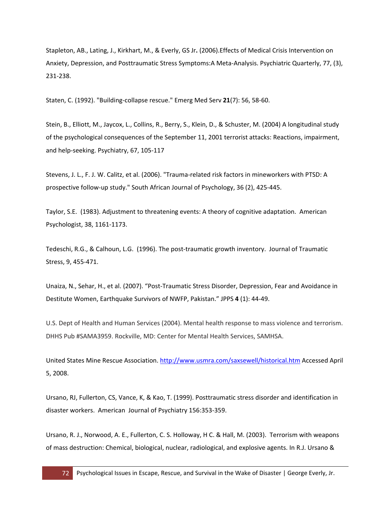Stapleton, AB., Lating, J., Kirkhart, M., & Everly, GS Jr**.** (2006).Effects of Medical Crisis Intervention on Anxiety, Depression, and Posttraumatic Stress Symptoms:A Meta‐Analysis. Psychiatric Quarterly, 77, (3), 231‐238.

Staten, C. (1992). "Building‐collapse rescue." Emerg Med Serv **21**(7): 56, 58‐60.

Stein, B., Elliott, M., Jaycox, L., Collins, R., Berry, S., Klein, D., & Schuster, M. (2004) A longitudinal study of the psychological consequences of the September 11, 2001 terrorist attacks: Reactions, impairment, and help‐seeking. Psychiatry, 67, 105‐117

Stevens, J. L., F. J. W. Calitz, et al. (2006). "Trauma‐related risk factors in mineworkers with PTSD: A prospective follow‐up study." South African Journal of Psychology, 36 (2), 425‐445.

Taylor, S.E. (1983). Adjustment to threatening events: A theory of cognitive adaptation. American Psychologist, 38, 1161‐1173.

Tedeschi, R.G., & Calhoun, L.G. (1996). The post-traumatic growth inventory. Journal of Traumatic Stress, 9, 455‐471.

Unaiza, N., Sehar, H., et al. (2007). "Post‐Traumatic Stress Disorder, Depression, Fear and Avoidance in Destitute Women, Earthquake Survivors of NWFP, Pakistan." JPPS **4** (1): 44‐49.

U.S. Dept of Health and Human Services (2004). Mental health response to mass violence and terrorism. DHHS Pub #SAMA3959. Rockville, MD: Center for Mental Health Services, SAMHSA.

United States Mine Rescue Association. http://www.usmra.com/saxsewell/historical.htm Accessed April 5, 2008.

Ursano, RJ, Fullerton, CS, Vance, K, & Kao, T. (1999). Posttraumatic stress disorder and identification in disaster workers. American Journal of Psychiatry 156:353‐359.

Ursano, R. J., Norwood, A. E., Fullerton, C. S. Holloway, H C. & Hall, M. (2003). Terrorism with weapons of mass destruction: Chemical, biological, nuclear, radiological, and explosive agents. In R.J. Ursano &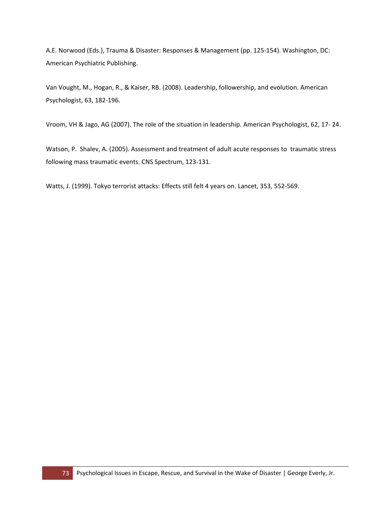A.E. Norwood (Eds.), Trauma & Disaster: Responses & Management (pp. 125‐154). Washington, DC: American Psychiatric Publishing.

Van Vought, M., Hogan, R., & Kaiser, RB. (2008). Leadership, followership, and evolution. American Psychologist, 63, 182‐196.

Vroom, VH & Jago, AG (2007). The role of the situation in leadership. American Psychologist, 62, 17‐ 24.

Watson, P. Shalev, A. (2005). Assessment and treatment of adult acute responses to traumatic stress following mass traumatic events. CNS Spectrum, 123‐131.

Watts, J. (1999). Tokyo terrorist attacks: Effects still felt 4 years on. Lancet, 353, 552‐569.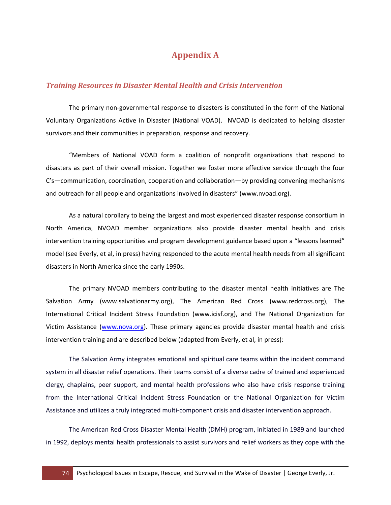## **Appendix A**

## *Training Resources in Disaster Mental Health and Crisis Intervention*

The primary non‐governmental response to disasters is constituted in the form of the National Voluntary Organizations Active in Disaster (National VOAD). NVOAD is dedicated to helping disaster survivors and their communities in preparation, response and recovery.

"Members of National VOAD form a coalition of nonprofit organizations that respond to disasters as part of their overall mission. Together we foster more effective service through the four C's—communication, coordination, cooperation and collaboration—by providing convening mechanisms and outreach for all people and organizations involved in disasters" (www.nvoad.org).

As a natural corollary to being the largest and most experienced disaster response consortium in North America, NVOAD member organizations also provide disaster mental health and crisis intervention training opportunities and program development guidance based upon a "lessons learned" model (see Everly, et al, in press) having responded to the acute mental health needs from all significant disasters in North America since the early 1990s.

The primary NVOAD members contributing to the disaster mental health initiatives are The Salvation Army (www.salvationarmy.org), The American Red Cross (www.redcross.org), The International Critical Incident Stress Foundation (www.icisf.org), and The National Organization for Victim Assistance (www.nova.org). These primary agencies provide disaster mental health and crisis intervention training and are described below (adapted from Everly, et al, in press):

The Salvation Army integrates emotional and spiritual care teams within the incident command system in all disaster relief operations. Their teams consist of a diverse cadre of trained and experienced clergy, chaplains, peer support, and mental health professions who also have crisis response training from the International Critical Incident Stress Foundation or the National Organization for Victim Assistance and utilizes a truly integrated multi‐component crisis and disaster intervention approach.

The American Red Cross Disaster Mental Health (DMH) program, initiated in 1989 and launched in 1992, deploys mental health professionals to assist survivors and relief workers as they cope with the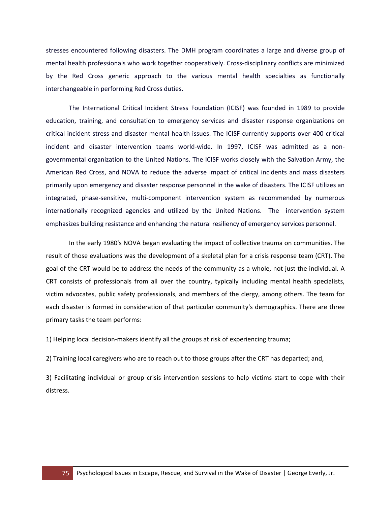stresses encountered following disasters. The DMH program coordinates a large and diverse group of mental health professionals who work together cooperatively. Cross-disciplinary conflicts are minimized by the Red Cross generic approach to the various mental health specialties as functionally interchangeable in performing Red Cross duties.

The International Critical Incident Stress Foundation (ICISF) was founded in 1989 to provide education, training, and consultation to emergency services and disaster response organizations on critical incident stress and disaster mental health issues. The ICISF currently supports over 400 critical incident and disaster intervention teams world-wide. In 1997, ICISF was admitted as a nongovernmental organization to the United Nations. The ICISF works closely with the Salvation Army, the American Red Cross, and NOVA to reduce the adverse impact of critical incidents and mass disasters primarily upon emergency and disaster response personnel in the wake of disasters. The ICISF utilizes an integrated, phase-sensitive, multi-component intervention system as recommended by numerous internationally recognized agencies and utilized by the United Nations. The intervention system emphasizes building resistance and enhancing the natural resiliency of emergency services personnel.

In the early 1980's NOVA began evaluating the impact of collective trauma on communities. The result of those evaluations was the development of a skeletal plan for a crisis response team (CRT). The goal of the CRT would be to address the needs of the community as a whole, not just the individual. A CRT consists of professionals from all over the country, typically including mental health specialists, victim advocates, public safety professionals, and members of the clergy, among others. The team for each disaster is formed in consideration of that particular community's demographics. There are three primary tasks the team performs:

1) Helping local decision‐makers identify all the groups at risk of experiencing trauma;

2) Training local caregivers who are to reach out to those groups after the CRT has departed; and,

3) Facilitating individual or group crisis intervention sessions to help victims start to cope with their distress.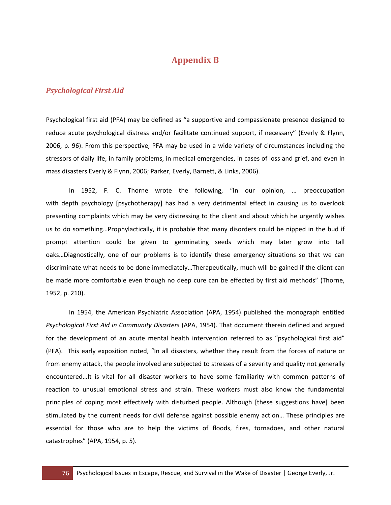## **Appendix B**

## *Psychological First Aid*

Psychological first aid (PFA) may be defined as "a supportive and compassionate presence designed to reduce acute psychological distress and/or facilitate continued support, if necessary" (Everly & Flynn, 2006, p. 96). From this perspective, PFA may be used in a wide variety of circumstances including the stressors of daily life, in family problems, in medical emergencies, in cases of loss and grief, and even in mass disasters Everly & Flynn, 2006; Parker, Everly, Barnett, & Links, 2006).

In 1952, F. C. Thorne wrote the following, "In our opinion, … preoccupation with depth psychology [psychotherapy] has had a very detrimental effect in causing us to overlook presenting complaints which may be very distressing to the client and about which he urgently wishes us to do something…Prophylactically, it is probable that many disorders could be nipped in the bud if prompt attention could be given to germinating seeds which may later grow into tall oaks…Diagnostically, one of our problems is to identify these emergency situations so that we can discriminate what needs to be done immediately…Therapeutically, much will be gained if the client can be made more comfortable even though no deep cure can be effected by first aid methods" (Thorne, 1952, p. 210).

In 1954, the American Psychiatric Association (APA, 1954) published the monograph entitled *Psychological First Aid in Community Disasters* (APA, 1954). That document therein defined and argued for the development of an acute mental health intervention referred to as "psychological first aid" (PFA). This early exposition noted, "In all disasters, whether they result from the forces of nature or from enemy attack, the people involved are subjected to stresses of a severity and quality not generally encountered…It is vital for all disaster workers to have some familiarity with common patterns of reaction to unusual emotional stress and strain. These workers must also know the fundamental principles of coping most effectively with disturbed people. Although [these suggestions have] been stimulated by the current needs for civil defense against possible enemy action… These principles are essential for those who are to help the victims of floods, fires, tornadoes, and other natural catastrophes" (APA, 1954, p. 5).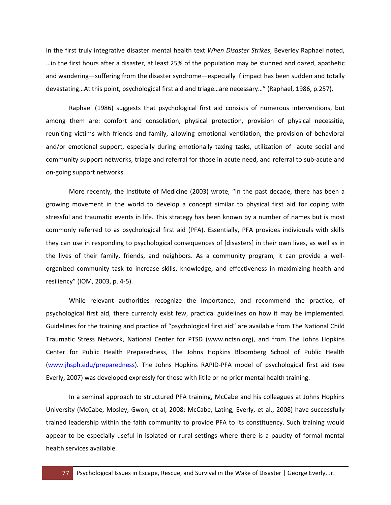In the first truly integrative disaster mental health text *When Disaster Strikes*, Beverley Raphael noted, …in the first hours after a disaster, at least 25% of the population may be stunned and dazed, apathetic and wandering—suffering from the disaster syndrome—especially if impact has been sudden and totally devastating…At this point, psychological first aid and triage…are necessary…" (Raphael, 1986, p.257).

Raphael (1986) suggests that psychological first aid consists of numerous interventions, but among them are: comfort and consolation, physical protection, provision of physical necessitie, reuniting victims with friends and family, allowing emotional ventilation, the provision of behavioral and/or emotional support, especially during emotionally taxing tasks, utilization of acute social and community support networks, triage and referral for those in acute need, and referral to sub‐acute and on‐going support networks.

More recently, the Institute of Medicine (2003) wrote, "In the past decade, there has been a growing movement in the world to develop a concept similar to physical first aid for coping with stressful and traumatic events in life. This strategy has been known by a number of names but is most commonly referred to as psychological first aid (PFA). Essentially, PFA provides individuals with skills they can use in responding to psychological consequences of [disasters] in their own lives, as well as in the lives of their family, friends, and neighbors. As a community program, it can provide a wellorganized community task to increase skills, knowledge, and effectiveness in maximizing health and resiliency" (IOM, 2003, p. 4‐5).

While relevant authorities recognize the importance, and recommend the practice, of psychological first aid, there currently exist few, practical guidelines on how it may be implemented. Guidelines for the training and practice of "psychological first aid" are available from The National Child Traumatic Stress Network, National Center for PTSD (www.nctsn.org), and from The Johns Hopkins Center for Public Health Preparedness, The Johns Hopkins Bloomberg School of Public Health (www.jhsph.edu/preparedness). The Johns Hopkins RAPID‐PFA model of psychological first aid (see Everly, 2007) was developed expressly for those with litlle or no prior mental health training.

In a seminal approach to structured PFA training, McCabe and his colleagues at Johns Hopkins University (McCabe, Mosley, Gwon, et al, 2008; McCabe, Lating, Everly, et al., 2008) have successfully trained leadership within the faith community to provide PFA to its constituency. Such training would appear to be especially useful in isolated or rural settings where there is a paucity of formal mental health services available.